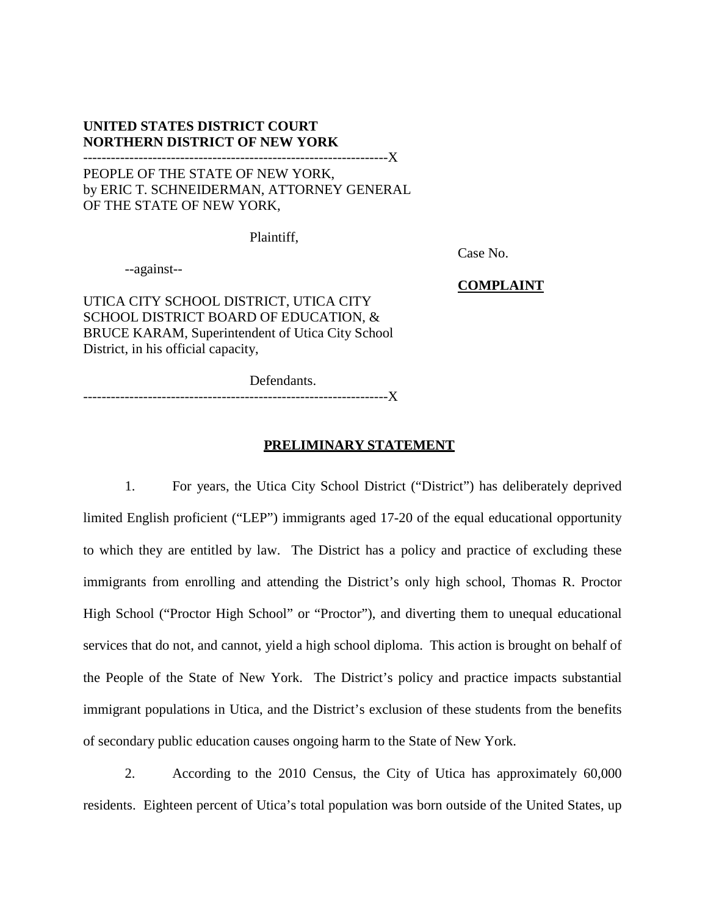## **UNITED STATES DISTRICT COURT NORTHERN DISTRICT OF NEW YORK**

# ------------------------------------------------------------------X PEOPLE OF THE STATE OF NEW YORK, by ERIC T. SCHNEIDERMAN, ATTORNEY GENERAL OF THE STATE OF NEW YORK,

Plaintiff,

--against--

Case No.

**COMPLAINT**

UTICA CITY SCHOOL DISTRICT, UTICA CITY SCHOOL DISTRICT BOARD OF EDUCATION, & BRUCE KARAM, Superintendent of Utica City School District, in his official capacity,

Defendants.

------------------------------------------------------------------X

## **PRELIMINARY STATEMENT**

1. For years, the Utica City School District ("District") has deliberately deprived limited English proficient ("LEP") immigrants aged 17-20 of the equal educational opportunity to which they are entitled by law. The District has a policy and practice of excluding these immigrants from enrolling and attending the District's only high school, Thomas R. Proctor High School ("Proctor High School" or "Proctor"), and diverting them to unequal educational services that do not, and cannot, yield a high school diploma. This action is brought on behalf of the People of the State of New York. The District's policy and practice impacts substantial immigrant populations in Utica, and the District's exclusion of these students from the benefits of secondary public education causes ongoing harm to the State of New York.

2. According to the 2010 Census, the City of Utica has approximately 60,000 residents. Eighteen percent of Utica's total population was born outside of the United States, up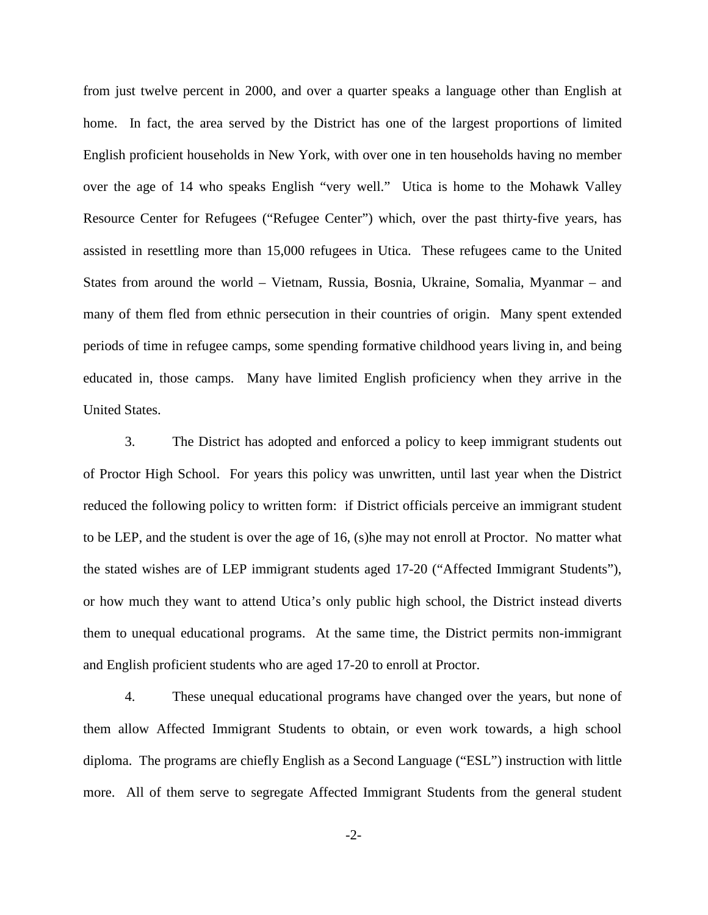from just twelve percent in 2000, and over a quarter speaks a language other than English at home. In fact, the area served by the District has one of the largest proportions of limited English proficient households in New York, with over one in ten households having no member over the age of 14 who speaks English "very well." Utica is home to the Mohawk Valley Resource Center for Refugees ("Refugee Center") which, over the past thirty-five years, has assisted in resettling more than 15,000 refugees in Utica. These refugees came to the United States from around the world – Vietnam, Russia, Bosnia, Ukraine, Somalia, Myanmar – and many of them fled from ethnic persecution in their countries of origin. Many spent extended periods of time in refugee camps, some spending formative childhood years living in, and being educated in, those camps. Many have limited English proficiency when they arrive in the United States.

3. The District has adopted and enforced a policy to keep immigrant students out of Proctor High School. For years this policy was unwritten, until last year when the District reduced the following policy to written form: if District officials perceive an immigrant student to be LEP, and the student is over the age of 16, (s)he may not enroll at Proctor. No matter what the stated wishes are of LEP immigrant students aged 17-20 ("Affected Immigrant Students"), or how much they want to attend Utica's only public high school, the District instead diverts them to unequal educational programs. At the same time, the District permits non-immigrant and English proficient students who are aged 17-20 to enroll at Proctor.

4. These unequal educational programs have changed over the years, but none of them allow Affected Immigrant Students to obtain, or even work towards, a high school diploma. The programs are chiefly English as a Second Language ("ESL") instruction with little more. All of them serve to segregate Affected Immigrant Students from the general student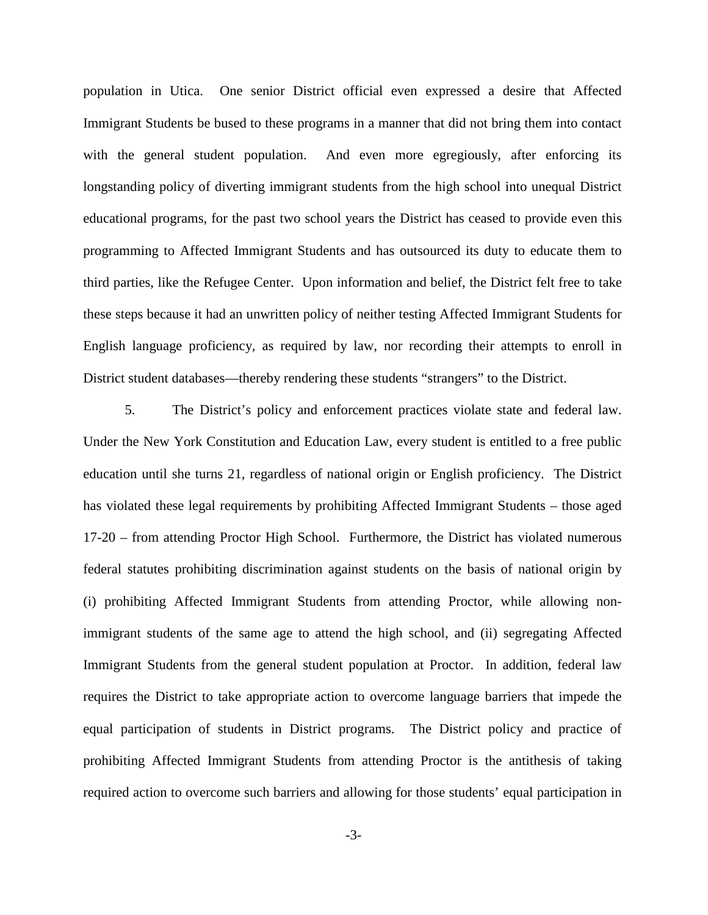population in Utica. One senior District official even expressed a desire that Affected Immigrant Students be bused to these programs in a manner that did not bring them into contact with the general student population. And even more egregiously, after enforcing its longstanding policy of diverting immigrant students from the high school into unequal District educational programs, for the past two school years the District has ceased to provide even this programming to Affected Immigrant Students and has outsourced its duty to educate them to third parties, like the Refugee Center. Upon information and belief, the District felt free to take these steps because it had an unwritten policy of neither testing Affected Immigrant Students for English language proficiency, as required by law, nor recording their attempts to enroll in District student databases—thereby rendering these students "strangers" to the District.

5. The District's policy and enforcement practices violate state and federal law. Under the New York Constitution and Education Law, every student is entitled to a free public education until she turns 21, regardless of national origin or English proficiency. The District has violated these legal requirements by prohibiting Affected Immigrant Students – those aged 17-20 – from attending Proctor High School. Furthermore, the District has violated numerous federal statutes prohibiting discrimination against students on the basis of national origin by (i) prohibiting Affected Immigrant Students from attending Proctor, while allowing nonimmigrant students of the same age to attend the high school, and (ii) segregating Affected Immigrant Students from the general student population at Proctor. In addition, federal law requires the District to take appropriate action to overcome language barriers that impede the equal participation of students in District programs. The District policy and practice of prohibiting Affected Immigrant Students from attending Proctor is the antithesis of taking required action to overcome such barriers and allowing for those students' equal participation in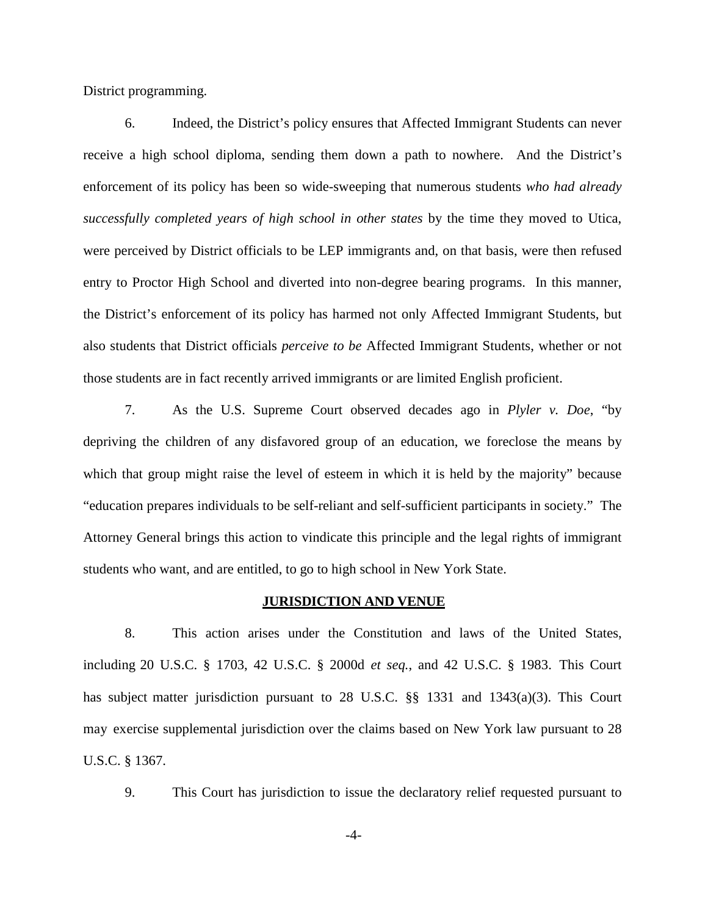District programming.

6. Indeed, the District's policy ensures that Affected Immigrant Students can never receive a high school diploma, sending them down a path to nowhere. And the District's enforcement of its policy has been so wide-sweeping that numerous students *who had already successfully completed years of high school in other states* by the time they moved to Utica, were perceived by District officials to be LEP immigrants and, on that basis, were then refused entry to Proctor High School and diverted into non-degree bearing programs. In this manner, the District's enforcement of its policy has harmed not only Affected Immigrant Students, but also students that District officials *perceive to be* Affected Immigrant Students, whether or not those students are in fact recently arrived immigrants or are limited English proficient.

7. As the U.S. Supreme Court observed decades ago in *Plyler v. Doe*, "by depriving the children of any disfavored group of an education, we foreclose the means by which that group might raise the level of esteem in which it is held by the majority" because "education prepares individuals to be self-reliant and self-sufficient participants in society." The Attorney General brings this action to vindicate this principle and the legal rights of immigrant students who want, and are entitled, to go to high school in New York State.

#### **JURISDICTION AND VENUE**

8. This action arises under the Constitution and laws of the United States, including 20 U.S.C. § 1703, 42 U.S.C. § 2000d *et seq.*, and 42 U.S.C. § 1983. This Court has subject matter jurisdiction pursuant to 28 U.S.C. §§ 1331 and 1343(a)(3). This Court may exercise supplemental jurisdiction over the claims based on New York law pursuant to 28 U.S.C. § 1367.

9. This Court has jurisdiction to issue the declaratory relief requested pursuant to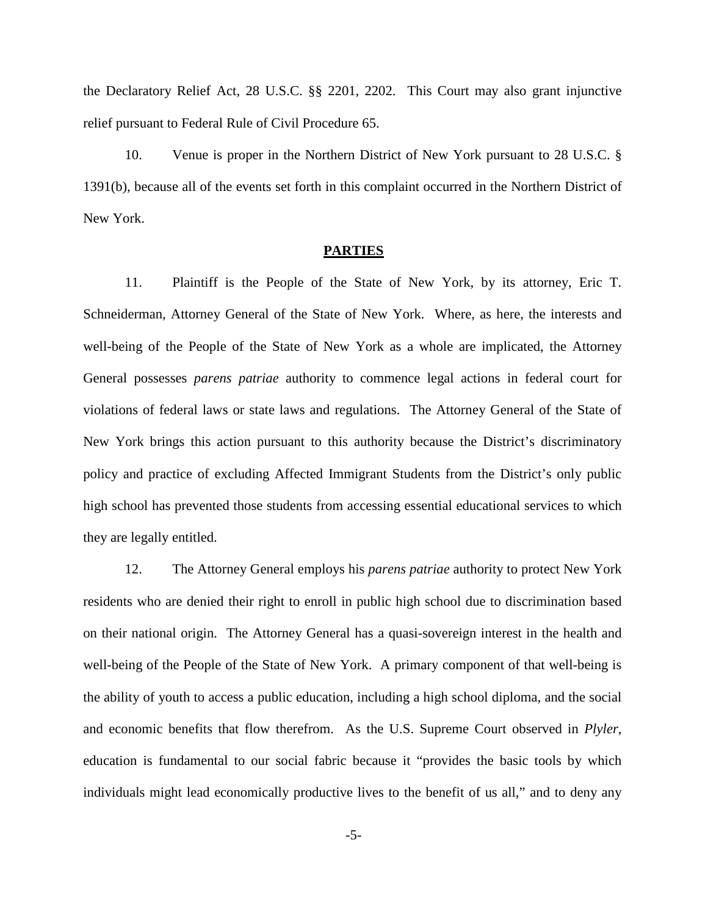the Declaratory Relief Act, 28 U.S.C. §§ 2201, 2202. This Court may also grant injunctive relief pursuant to Federal Rule of Civil Procedure 65.

10. Venue is proper in the Northern District of New York pursuant to 28 U.S.C. § 1391(b), because all of the events set forth in this complaint occurred in the Northern District of New York.

## **PARTIES**

11. Plaintiff is the People of the State of New York, by its attorney, Eric T. Schneiderman, Attorney General of the State of New York. Where, as here, the interests and well-being of the People of the State of New York as a whole are implicated, the Attorney General possesses *parens patriae* authority to commence legal actions in federal court for violations of federal laws or state laws and regulations. The Attorney General of the State of New York brings this action pursuant to this authority because the District's discriminatory policy and practice of excluding Affected Immigrant Students from the District's only public high school has prevented those students from accessing essential educational services to which they are legally entitled.

12. The Attorney General employs his *parens patriae* authority to protect New York residents who are denied their right to enroll in public high school due to discrimination based on their national origin. The Attorney General has a quasi-sovereign interest in the health and well-being of the People of the State of New York. A primary component of that well-being is the ability of youth to access a public education, including a high school diploma, and the social and economic benefits that flow therefrom. As the U.S. Supreme Court observed in *Plyler*, education is fundamental to our social fabric because it "provides the basic tools by which individuals might lead economically productive lives to the benefit of us all," and to deny any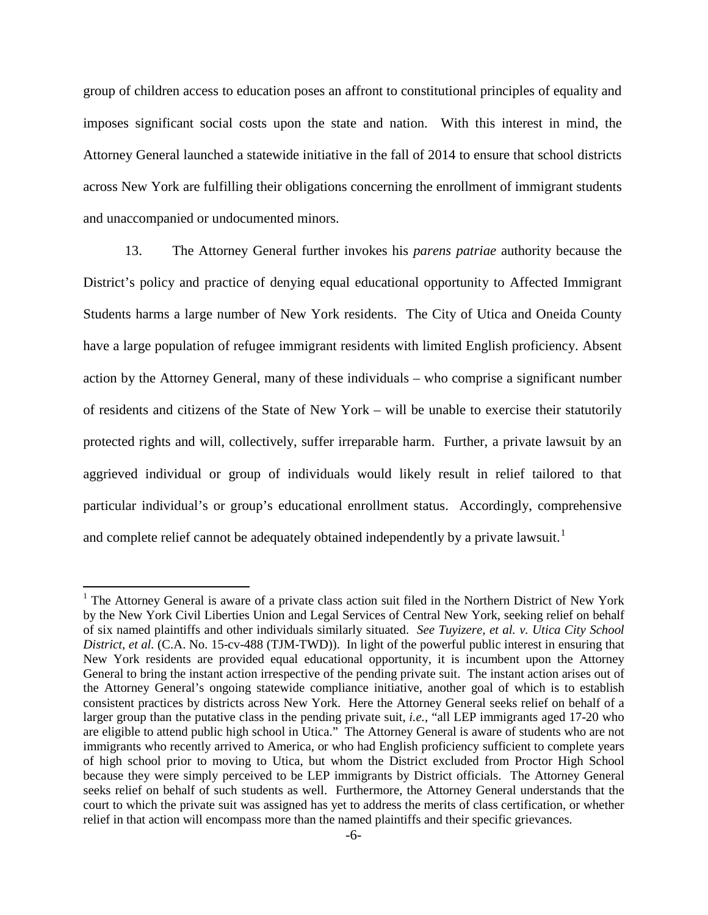group of children access to education poses an affront to constitutional principles of equality and imposes significant social costs upon the state and nation. With this interest in mind, the Attorney General launched a statewide initiative in the fall of 2014 to ensure that school districts across New York are fulfilling their obligations concerning the enrollment of immigrant students and unaccompanied or undocumented minors.

13. The Attorney General further invokes his *parens patriae* authority because the District's policy and practice of denying equal educational opportunity to Affected Immigrant Students harms a large number of New York residents. The City of Utica and Oneida County have a large population of refugee immigrant residents with limited English proficiency. Absent action by the Attorney General, many of these individuals – who comprise a significant number of residents and citizens of the State of New York – will be unable to exercise their statutorily protected rights and will, collectively, suffer irreparable harm. Further, a private lawsuit by an aggrieved individual or group of individuals would likely result in relief tailored to that particular individual's or group's educational enrollment status. Accordingly, comprehensive and complete relief cannot be adequately obtained independently by a private lawsuit.<sup>[1](#page-5-0)</sup>

l

<span id="page-5-0"></span><sup>&</sup>lt;sup>1</sup> The Attorney General is aware of a private class action suit filed in the Northern District of New York by the New York Civil Liberties Union and Legal Services of Central New York, seeking relief on behalf of six named plaintiffs and other individuals similarly situated. *See Tuyizere, et al. v. Utica City School District, et al.* (C.A. No. 15-cv-488 (TJM-TWD)). In light of the powerful public interest in ensuring that New York residents are provided equal educational opportunity, it is incumbent upon the Attorney General to bring the instant action irrespective of the pending private suit. The instant action arises out of the Attorney General's ongoing statewide compliance initiative, another goal of which is to establish consistent practices by districts across New York. Here the Attorney General seeks relief on behalf of a larger group than the putative class in the pending private suit, *i.e.*, "all LEP immigrants aged 17-20 who are eligible to attend public high school in Utica." The Attorney General is aware of students who are not immigrants who recently arrived to America, or who had English proficiency sufficient to complete years of high school prior to moving to Utica, but whom the District excluded from Proctor High School because they were simply perceived to be LEP immigrants by District officials. The Attorney General seeks relief on behalf of such students as well. Furthermore, the Attorney General understands that the court to which the private suit was assigned has yet to address the merits of class certification, or whether relief in that action will encompass more than the named plaintiffs and their specific grievances.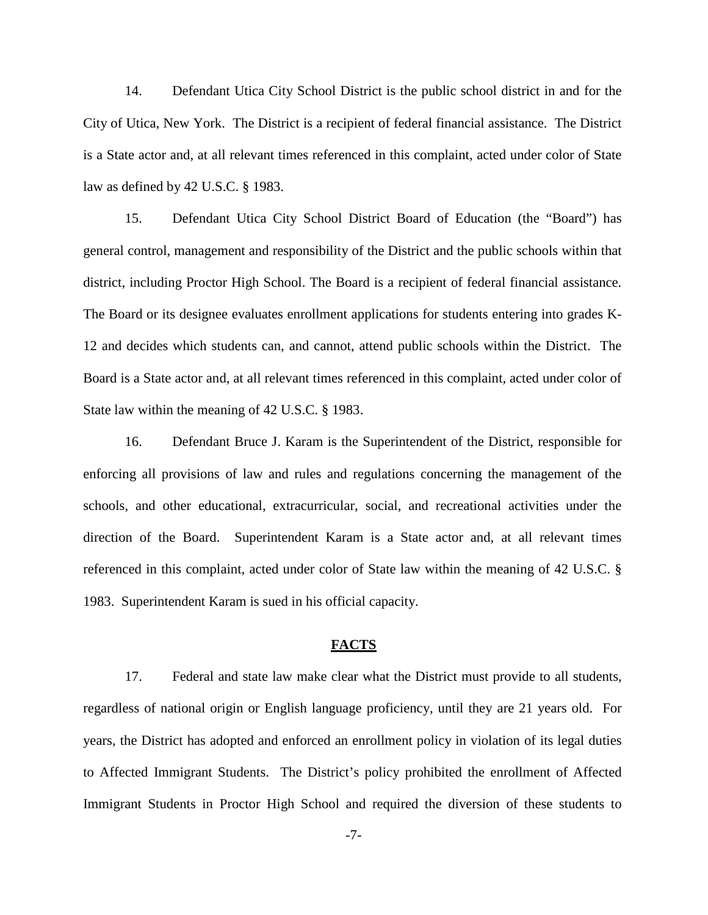14. Defendant Utica City School District is the public school district in and for the City of Utica, New York. The District is a recipient of federal financial assistance. The District is a State actor and, at all relevant times referenced in this complaint, acted under color of State law as defined by 42 U.S.C. § 1983.

15. Defendant Utica City School District Board of Education (the "Board") has general control, management and responsibility of the District and the public schools within that district, including Proctor High School. The Board is a recipient of federal financial assistance. The Board or its designee evaluates enrollment applications for students entering into grades K-12 and decides which students can, and cannot, attend public schools within the District. The Board is a State actor and, at all relevant times referenced in this complaint, acted under color of State law within the meaning of 42 U.S.C. § 1983.

16. Defendant Bruce J. Karam is the Superintendent of the District, responsible for enforcing all provisions of law and rules and regulations concerning the management of the schools, and other educational, extracurricular, social, and recreational activities under the direction of the Board. Superintendent Karam is a State actor and, at all relevant times referenced in this complaint, acted under color of State law within the meaning of 42 U.S.C. § 1983. Superintendent Karam is sued in his official capacity.

## **FACTS**

17. Federal and state law make clear what the District must provide to all students, regardless of national origin or English language proficiency, until they are 21 years old. For years, the District has adopted and enforced an enrollment policy in violation of its legal duties to Affected Immigrant Students. The District's policy prohibited the enrollment of Affected Immigrant Students in Proctor High School and required the diversion of these students to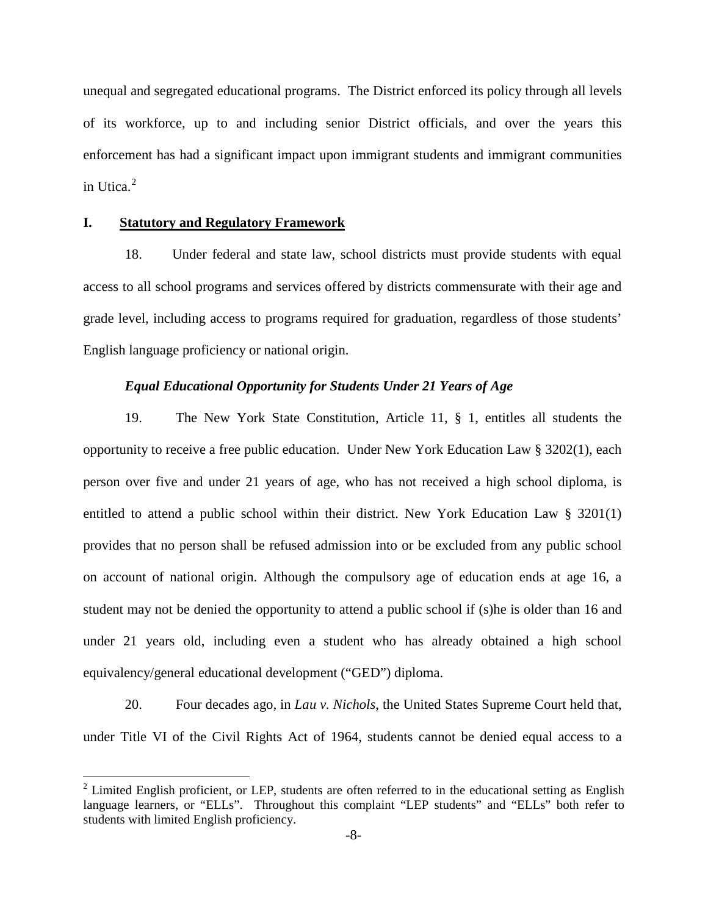unequal and segregated educational programs. The District enforced its policy through all levels of its workforce, up to and including senior District officials, and over the years this enforcement has had a significant impact upon immigrant students and immigrant communities in Utica.<sup>[2](#page-7-0)</sup>

#### **I. Statutory and Regulatory Framework**

 $\overline{\phantom{a}}$ 

18. Under federal and state law, school districts must provide students with equal access to all school programs and services offered by districts commensurate with their age and grade level, including access to programs required for graduation, regardless of those students' English language proficiency or national origin.

## *Equal Educational Opportunity for Students Under 21 Years of Age*

19. The New York State Constitution, Article 11, § 1, entitles all students the opportunity to receive a free public education. Under New York Education Law § 3202(1), each person over five and under 21 years of age, who has not received a high school diploma, is entitled to attend a public school within their district. New York Education Law § 3201(1) provides that no person shall be refused admission into or be excluded from any public school on account of national origin. Although the compulsory age of education ends at age 16, a student may not be denied the opportunity to attend a public school if (s)he is older than 16 and under 21 years old, including even a student who has already obtained a high school equivalency/general educational development ("GED") diploma.

20. Four decades ago, in *Lau v. Nichols*, the United States Supreme Court held that, under Title VI of the Civil Rights Act of 1964, students cannot be denied equal access to a

<span id="page-7-0"></span> $2$  Limited English proficient, or LEP, students are often referred to in the educational setting as English language learners, or "ELLs". Throughout this complaint "LEP students" and "ELLs" both refer to students with limited English proficiency.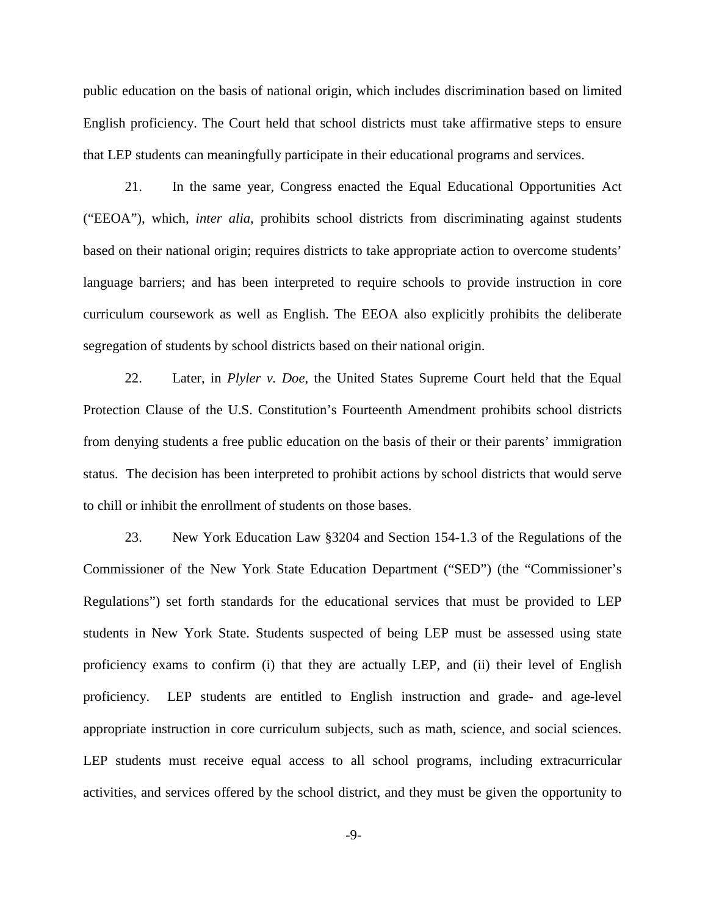public education on the basis of national origin, which includes discrimination based on limited English proficiency. The Court held that school districts must take affirmative steps to ensure that LEP students can meaningfully participate in their educational programs and services.

21. In the same year, Congress enacted the Equal Educational Opportunities Act ("EEOA"), which, *inter alia*, prohibits school districts from discriminating against students based on their national origin; requires districts to take appropriate action to overcome students' language barriers; and has been interpreted to require schools to provide instruction in core curriculum coursework as well as English. The EEOA also explicitly prohibits the deliberate segregation of students by school districts based on their national origin.

22. Later, in *Plyler v. Doe*, the United States Supreme Court held that the Equal Protection Clause of the U.S. Constitution's Fourteenth Amendment prohibits school districts from denying students a free public education on the basis of their or their parents' immigration status. The decision has been interpreted to prohibit actions by school districts that would serve to chill or inhibit the enrollment of students on those bases.

23. New York Education Law §3204 and Section 154-1.3 of the Regulations of the Commissioner of the New York State Education Department ("SED") (the "Commissioner's Regulations") set forth standards for the educational services that must be provided to LEP students in New York State. Students suspected of being LEP must be assessed using state proficiency exams to confirm (i) that they are actually LEP, and (ii) their level of English proficiency. LEP students are entitled to English instruction and grade- and age-level appropriate instruction in core curriculum subjects, such as math, science, and social sciences. LEP students must receive equal access to all school programs, including extracurricular activities, and services offered by the school district, and they must be given the opportunity to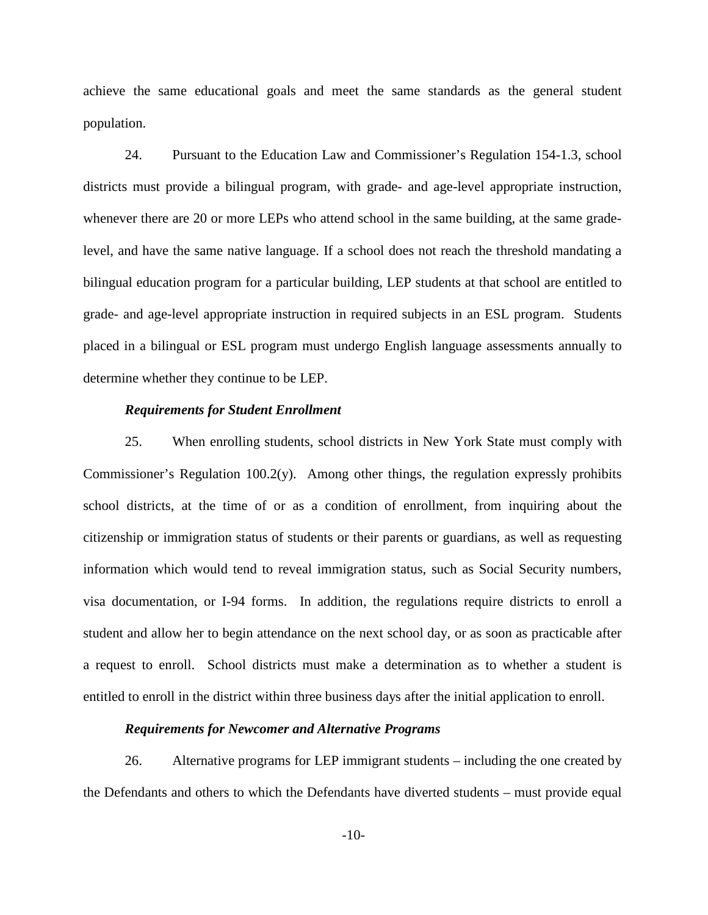achieve the same educational goals and meet the same standards as the general student population.

24. Pursuant to the Education Law and Commissioner's Regulation 154-1.3, school districts must provide a bilingual program, with grade- and age-level appropriate instruction, whenever there are 20 or more LEPs who attend school in the same building, at the same gradelevel, and have the same native language. If a school does not reach the threshold mandating a bilingual education program for a particular building, LEP students at that school are entitled to grade- and age-level appropriate instruction in required subjects in an ESL program. Students placed in a bilingual or ESL program must undergo English language assessments annually to determine whether they continue to be LEP.

## *Requirements for Student Enrollment*

25. When enrolling students, school districts in New York State must comply with Commissioner's Regulation 100.2(y). Among other things, the regulation expressly prohibits school districts, at the time of or as a condition of enrollment, from inquiring about the citizenship or immigration status of students or their parents or guardians, as well as requesting information which would tend to reveal immigration status, such as Social Security numbers, visa documentation, or I-94 forms. In addition, the regulations require districts to enroll a student and allow her to begin attendance on the next school day, or as soon as practicable after a request to enroll. School districts must make a determination as to whether a student is entitled to enroll in the district within three business days after the initial application to enroll.

#### *Requirements for Newcomer and Alternative Programs*

26. Alternative programs for LEP immigrant students – including the one created by the Defendants and others to which the Defendants have diverted students – must provide equal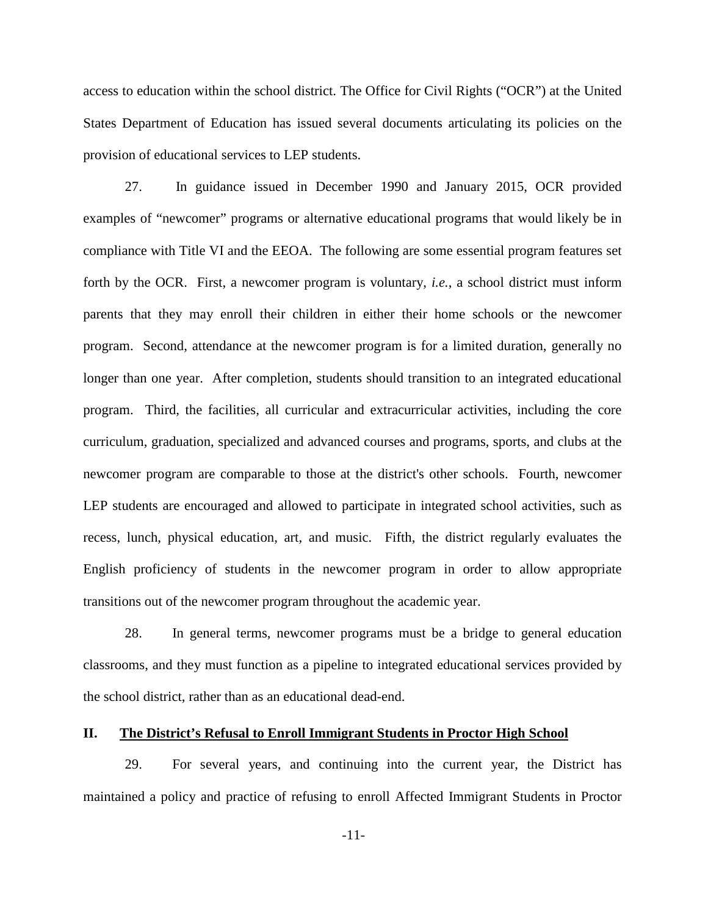access to education within the school district. The Office for Civil Rights ("OCR") at the United States Department of Education has issued several documents articulating its policies on the provision of educational services to LEP students.

27. In guidance issued in December 1990 and January 2015, OCR provided examples of "newcomer" programs or alternative educational programs that would likely be in compliance with Title VI and the EEOA. The following are some essential program features set forth by the OCR. First, a newcomer program is voluntary, *i.e.*, a school district must inform parents that they may enroll their children in either their home schools or the newcomer program. Second, attendance at the newcomer program is for a limited duration, generally no longer than one year. After completion, students should transition to an integrated educational program. Third, the facilities, all curricular and extracurricular activities, including the core curriculum, graduation, specialized and advanced courses and programs, sports, and clubs at the newcomer program are comparable to those at the district's other schools. Fourth, newcomer LEP students are encouraged and allowed to participate in integrated school activities, such as recess, lunch, physical education, art, and music. Fifth, the district regularly evaluates the English proficiency of students in the newcomer program in order to allow appropriate transitions out of the newcomer program throughout the academic year.

28. In general terms, newcomer programs must be a bridge to general education classrooms, and they must function as a pipeline to integrated educational services provided by the school district, rather than as an educational dead-end.

## **II. The District's Refusal to Enroll Immigrant Students in Proctor High School**

29. For several years, and continuing into the current year, the District has maintained a policy and practice of refusing to enroll Affected Immigrant Students in Proctor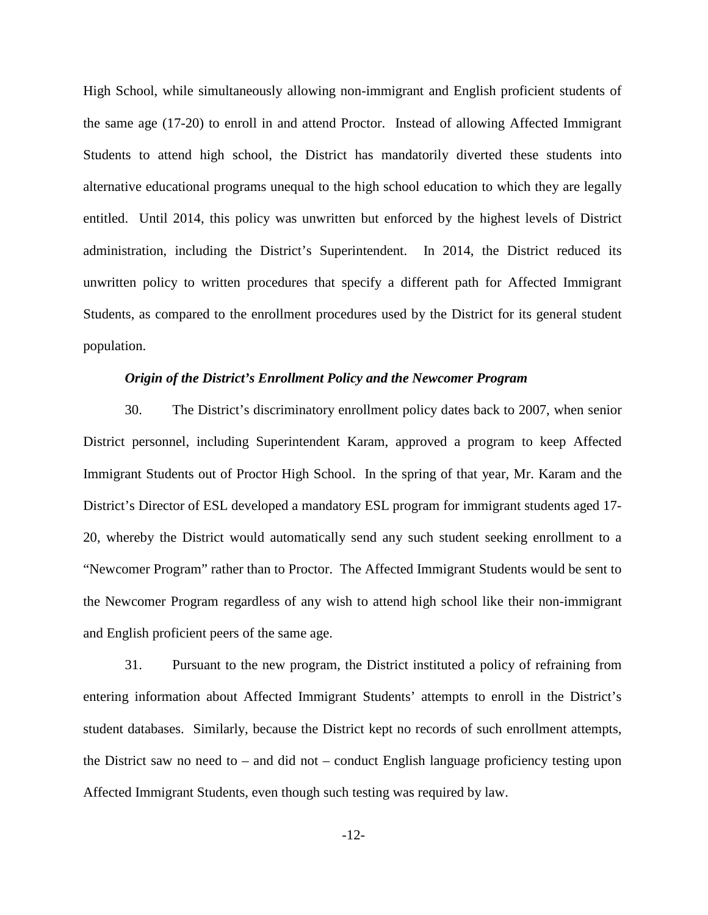High School, while simultaneously allowing non-immigrant and English proficient students of the same age (17-20) to enroll in and attend Proctor. Instead of allowing Affected Immigrant Students to attend high school, the District has mandatorily diverted these students into alternative educational programs unequal to the high school education to which they are legally entitled. Until 2014, this policy was unwritten but enforced by the highest levels of District administration, including the District's Superintendent. In 2014, the District reduced its unwritten policy to written procedures that specify a different path for Affected Immigrant Students, as compared to the enrollment procedures used by the District for its general student population.

## *Origin of the District's Enrollment Policy and the Newcomer Program*

30. The District's discriminatory enrollment policy dates back to 2007, when senior District personnel, including Superintendent Karam, approved a program to keep Affected Immigrant Students out of Proctor High School. In the spring of that year, Mr. Karam and the District's Director of ESL developed a mandatory ESL program for immigrant students aged 17- 20, whereby the District would automatically send any such student seeking enrollment to a "Newcomer Program" rather than to Proctor. The Affected Immigrant Students would be sent to the Newcomer Program regardless of any wish to attend high school like their non-immigrant and English proficient peers of the same age.

31. Pursuant to the new program, the District instituted a policy of refraining from entering information about Affected Immigrant Students' attempts to enroll in the District's student databases. Similarly, because the District kept no records of such enrollment attempts, the District saw no need to – and did not – conduct English language proficiency testing upon Affected Immigrant Students, even though such testing was required by law.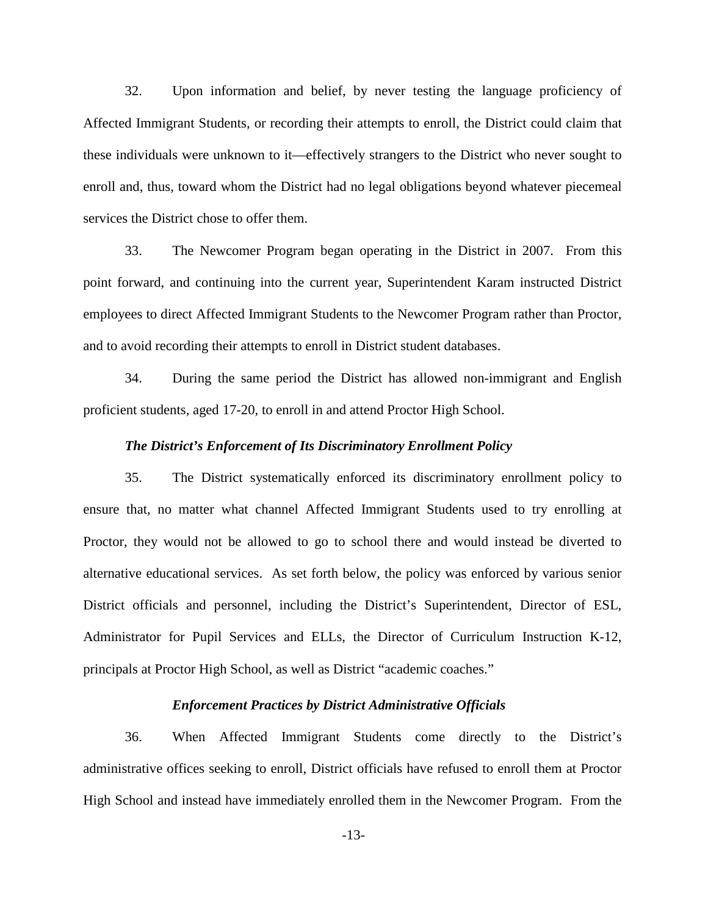32. Upon information and belief, by never testing the language proficiency of Affected Immigrant Students, or recording their attempts to enroll, the District could claim that these individuals were unknown to it—effectively strangers to the District who never sought to enroll and, thus, toward whom the District had no legal obligations beyond whatever piecemeal services the District chose to offer them.

33. The Newcomer Program began operating in the District in 2007. From this point forward, and continuing into the current year, Superintendent Karam instructed District employees to direct Affected Immigrant Students to the Newcomer Program rather than Proctor, and to avoid recording their attempts to enroll in District student databases.

34. During the same period the District has allowed non-immigrant and English proficient students, aged 17-20, to enroll in and attend Proctor High School.

#### *The District's Enforcement of Its Discriminatory Enrollment Policy*

35. The District systematically enforced its discriminatory enrollment policy to ensure that, no matter what channel Affected Immigrant Students used to try enrolling at Proctor, they would not be allowed to go to school there and would instead be diverted to alternative educational services. As set forth below, the policy was enforced by various senior District officials and personnel, including the District's Superintendent, Director of ESL, Administrator for Pupil Services and ELLs, the Director of Curriculum Instruction K-12, principals at Proctor High School, as well as District "academic coaches."

## *Enforcement Practices by District Administrative Officials*

36. When Affected Immigrant Students come directly to the District's administrative offices seeking to enroll, District officials have refused to enroll them at Proctor High School and instead have immediately enrolled them in the Newcomer Program. From the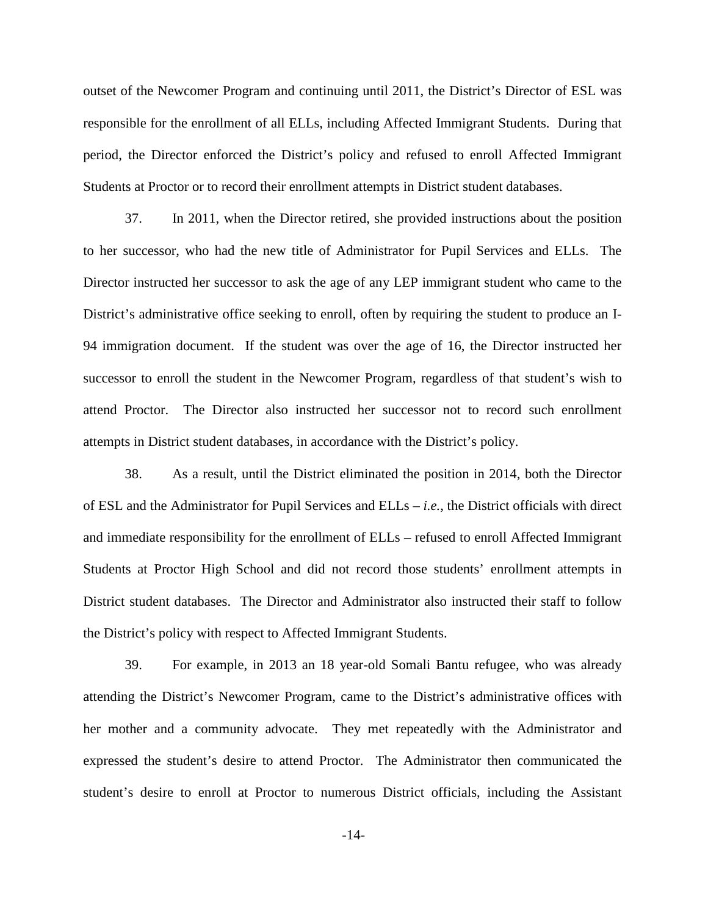outset of the Newcomer Program and continuing until 2011, the District's Director of ESL was responsible for the enrollment of all ELLs, including Affected Immigrant Students. During that period, the Director enforced the District's policy and refused to enroll Affected Immigrant Students at Proctor or to record their enrollment attempts in District student databases.

37. In 2011, when the Director retired, she provided instructions about the position to her successor, who had the new title of Administrator for Pupil Services and ELLs. The Director instructed her successor to ask the age of any LEP immigrant student who came to the District's administrative office seeking to enroll, often by requiring the student to produce an I-94 immigration document. If the student was over the age of 16, the Director instructed her successor to enroll the student in the Newcomer Program, regardless of that student's wish to attend Proctor. The Director also instructed her successor not to record such enrollment attempts in District student databases, in accordance with the District's policy.

38. As a result, until the District eliminated the position in 2014, both the Director of ESL and the Administrator for Pupil Services and ELLs – *i.e.*, the District officials with direct and immediate responsibility for the enrollment of ELLs – refused to enroll Affected Immigrant Students at Proctor High School and did not record those students' enrollment attempts in District student databases. The Director and Administrator also instructed their staff to follow the District's policy with respect to Affected Immigrant Students.

39. For example, in 2013 an 18 year-old Somali Bantu refugee, who was already attending the District's Newcomer Program, came to the District's administrative offices with her mother and a community advocate. They met repeatedly with the Administrator and expressed the student's desire to attend Proctor. The Administrator then communicated the student's desire to enroll at Proctor to numerous District officials, including the Assistant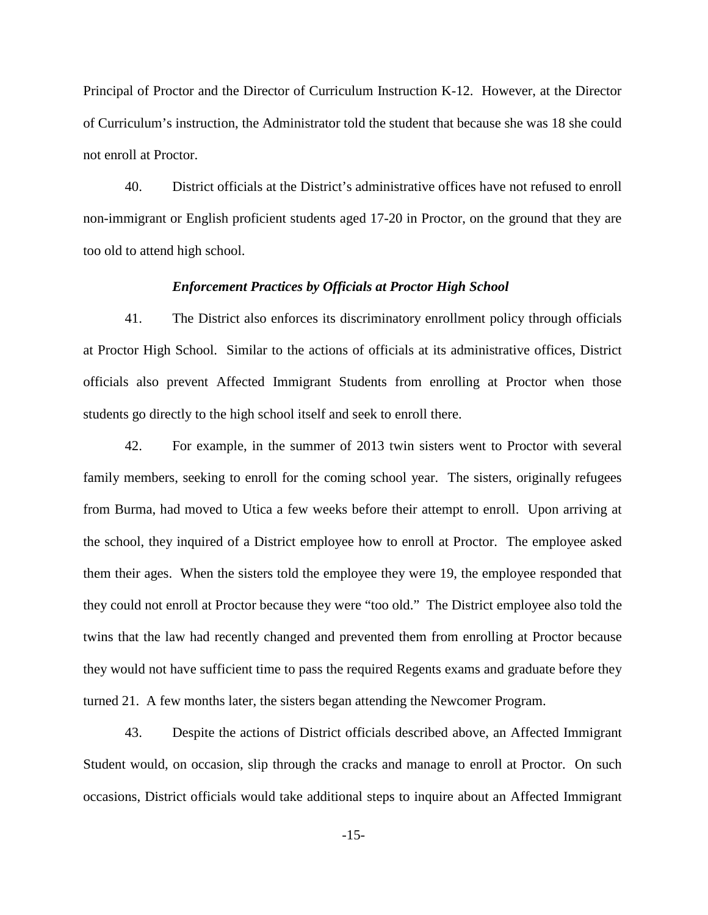Principal of Proctor and the Director of Curriculum Instruction K-12. However, at the Director of Curriculum's instruction, the Administrator told the student that because she was 18 she could not enroll at Proctor.

40. District officials at the District's administrative offices have not refused to enroll non-immigrant or English proficient students aged 17-20 in Proctor, on the ground that they are too old to attend high school.

### *Enforcement Practices by Officials at Proctor High School*

41. The District also enforces its discriminatory enrollment policy through officials at Proctor High School. Similar to the actions of officials at its administrative offices, District officials also prevent Affected Immigrant Students from enrolling at Proctor when those students go directly to the high school itself and seek to enroll there.

42. For example, in the summer of 2013 twin sisters went to Proctor with several family members, seeking to enroll for the coming school year. The sisters, originally refugees from Burma, had moved to Utica a few weeks before their attempt to enroll. Upon arriving at the school, they inquired of a District employee how to enroll at Proctor. The employee asked them their ages. When the sisters told the employee they were 19, the employee responded that they could not enroll at Proctor because they were "too old." The District employee also told the twins that the law had recently changed and prevented them from enrolling at Proctor because they would not have sufficient time to pass the required Regents exams and graduate before they turned 21. A few months later, the sisters began attending the Newcomer Program.

43. Despite the actions of District officials described above, an Affected Immigrant Student would, on occasion, slip through the cracks and manage to enroll at Proctor. On such occasions, District officials would take additional steps to inquire about an Affected Immigrant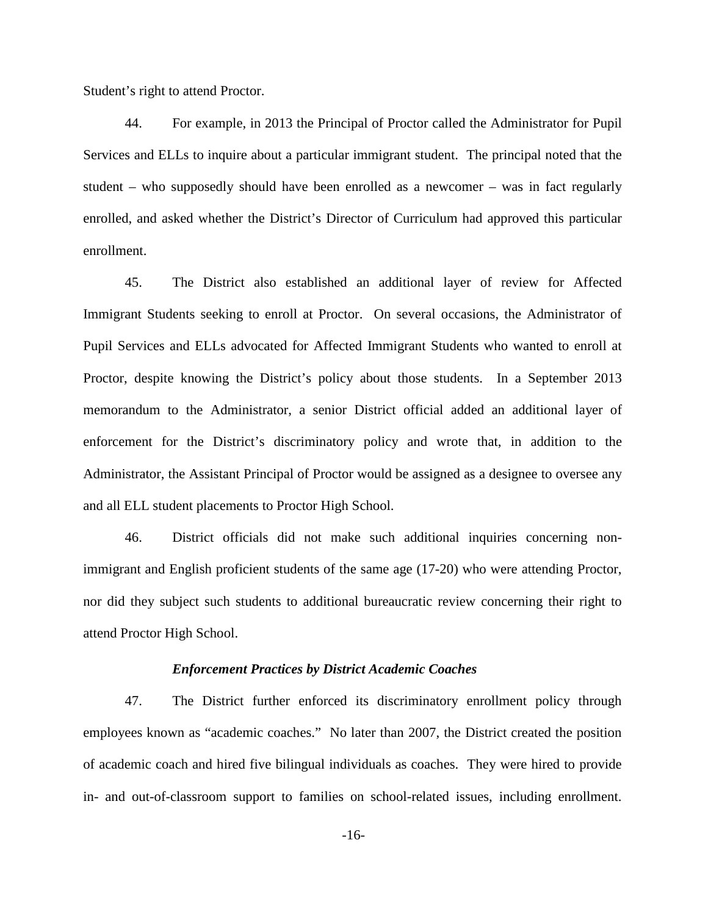Student's right to attend Proctor.

44. For example, in 2013 the Principal of Proctor called the Administrator for Pupil Services and ELLs to inquire about a particular immigrant student. The principal noted that the student – who supposedly should have been enrolled as a newcomer – was in fact regularly enrolled, and asked whether the District's Director of Curriculum had approved this particular enrollment.

45. The District also established an additional layer of review for Affected Immigrant Students seeking to enroll at Proctor. On several occasions, the Administrator of Pupil Services and ELLs advocated for Affected Immigrant Students who wanted to enroll at Proctor, despite knowing the District's policy about those students. In a September 2013 memorandum to the Administrator, a senior District official added an additional layer of enforcement for the District's discriminatory policy and wrote that, in addition to the Administrator, the Assistant Principal of Proctor would be assigned as a designee to oversee any and all ELL student placements to Proctor High School.

46. District officials did not make such additional inquiries concerning nonimmigrant and English proficient students of the same age (17-20) who were attending Proctor, nor did they subject such students to additional bureaucratic review concerning their right to attend Proctor High School.

#### *Enforcement Practices by District Academic Coaches*

47. The District further enforced its discriminatory enrollment policy through employees known as "academic coaches." No later than 2007, the District created the position of academic coach and hired five bilingual individuals as coaches. They were hired to provide in- and out-of-classroom support to families on school-related issues, including enrollment.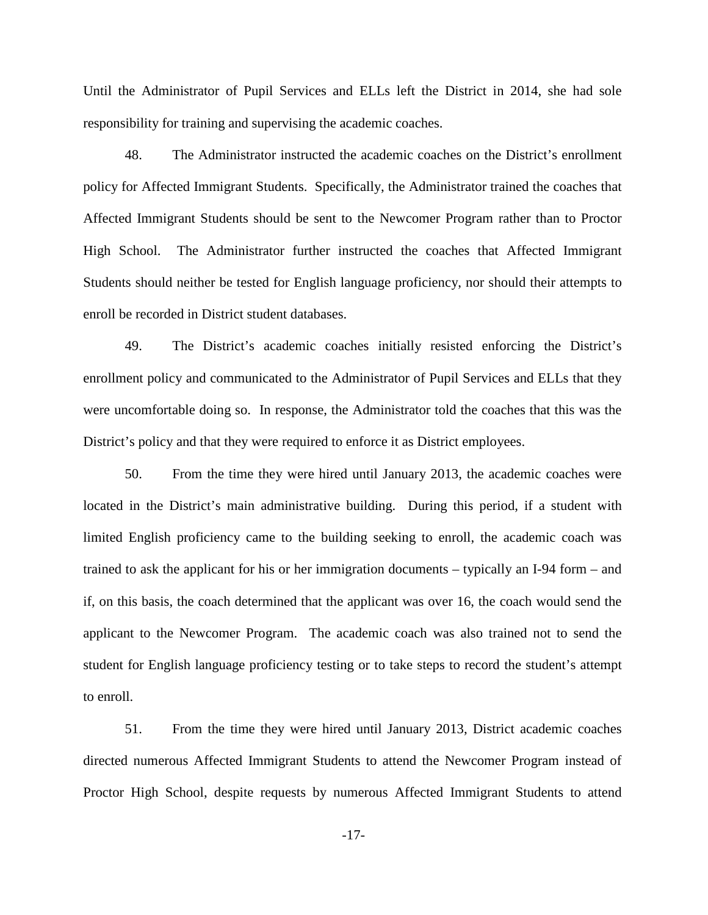Until the Administrator of Pupil Services and ELLs left the District in 2014, she had sole responsibility for training and supervising the academic coaches.

48. The Administrator instructed the academic coaches on the District's enrollment policy for Affected Immigrant Students. Specifically, the Administrator trained the coaches that Affected Immigrant Students should be sent to the Newcomer Program rather than to Proctor High School. The Administrator further instructed the coaches that Affected Immigrant Students should neither be tested for English language proficiency, nor should their attempts to enroll be recorded in District student databases.

49. The District's academic coaches initially resisted enforcing the District's enrollment policy and communicated to the Administrator of Pupil Services and ELLs that they were uncomfortable doing so. In response, the Administrator told the coaches that this was the District's policy and that they were required to enforce it as District employees.

50. From the time they were hired until January 2013, the academic coaches were located in the District's main administrative building. During this period, if a student with limited English proficiency came to the building seeking to enroll, the academic coach was trained to ask the applicant for his or her immigration documents – typically an I-94 form – and if, on this basis, the coach determined that the applicant was over 16, the coach would send the applicant to the Newcomer Program. The academic coach was also trained not to send the student for English language proficiency testing or to take steps to record the student's attempt to enroll.

51. From the time they were hired until January 2013, District academic coaches directed numerous Affected Immigrant Students to attend the Newcomer Program instead of Proctor High School, despite requests by numerous Affected Immigrant Students to attend

-17-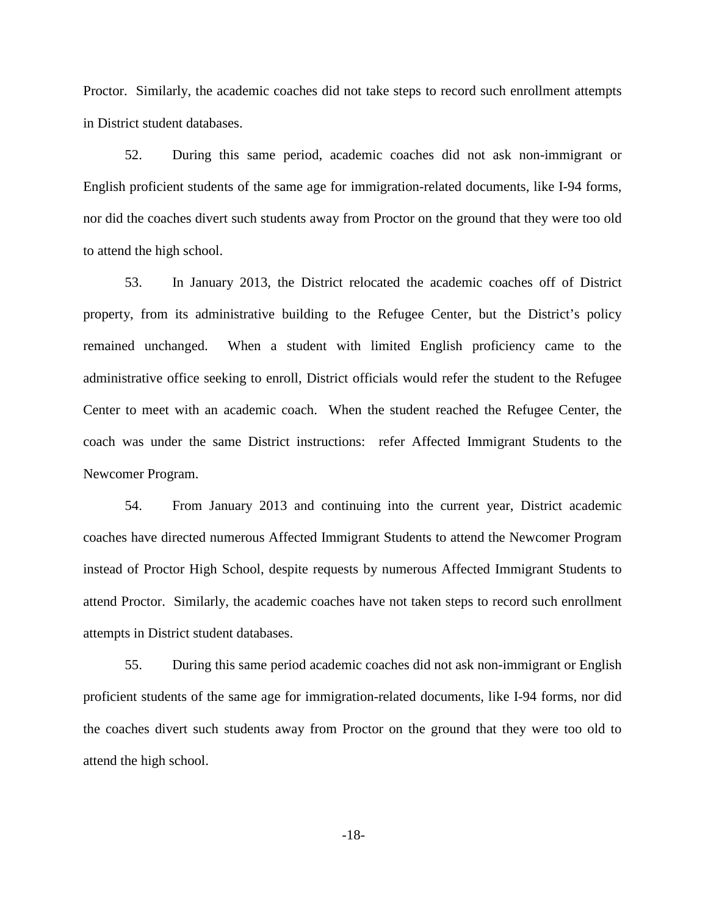Proctor. Similarly, the academic coaches did not take steps to record such enrollment attempts in District student databases.

52. During this same period, academic coaches did not ask non-immigrant or English proficient students of the same age for immigration-related documents, like I-94 forms, nor did the coaches divert such students away from Proctor on the ground that they were too old to attend the high school.

53. In January 2013, the District relocated the academic coaches off of District property, from its administrative building to the Refugee Center, but the District's policy remained unchanged. When a student with limited English proficiency came to the administrative office seeking to enroll, District officials would refer the student to the Refugee Center to meet with an academic coach. When the student reached the Refugee Center, the coach was under the same District instructions: refer Affected Immigrant Students to the Newcomer Program.

54. From January 2013 and continuing into the current year, District academic coaches have directed numerous Affected Immigrant Students to attend the Newcomer Program instead of Proctor High School, despite requests by numerous Affected Immigrant Students to attend Proctor. Similarly, the academic coaches have not taken steps to record such enrollment attempts in District student databases.

55. During this same period academic coaches did not ask non-immigrant or English proficient students of the same age for immigration-related documents, like I-94 forms, nor did the coaches divert such students away from Proctor on the ground that they were too old to attend the high school.

-18-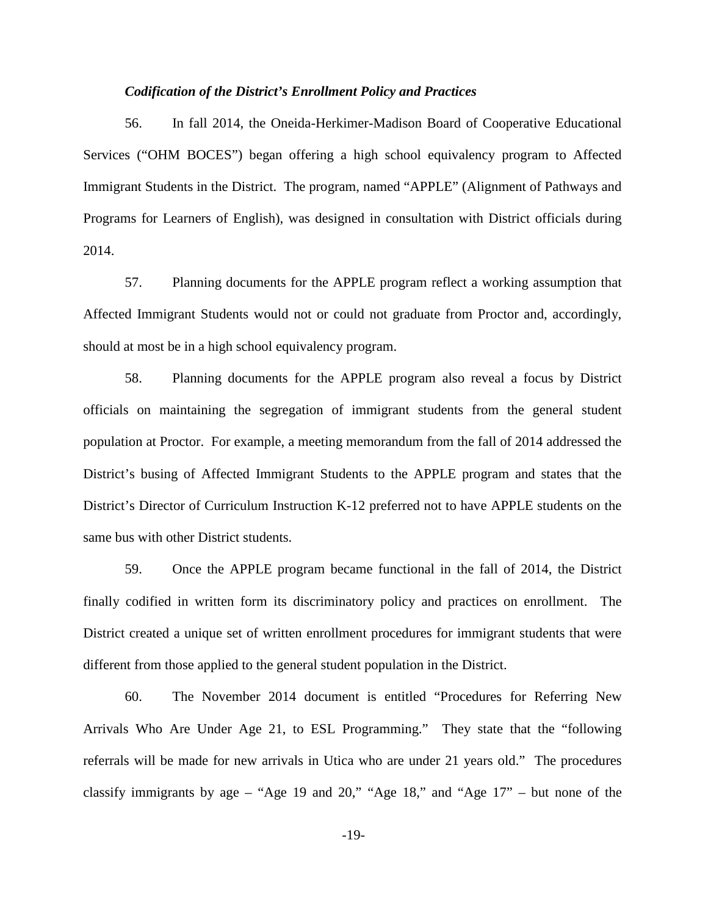### *Codification of the District's Enrollment Policy and Practices*

56. In fall 2014, the Oneida-Herkimer-Madison Board of Cooperative Educational Services ("OHM BOCES") began offering a high school equivalency program to Affected Immigrant Students in the District. The program, named "APPLE" (Alignment of Pathways and Programs for Learners of English), was designed in consultation with District officials during 2014.

57. Planning documents for the APPLE program reflect a working assumption that Affected Immigrant Students would not or could not graduate from Proctor and, accordingly, should at most be in a high school equivalency program.

58. Planning documents for the APPLE program also reveal a focus by District officials on maintaining the segregation of immigrant students from the general student population at Proctor. For example, a meeting memorandum from the fall of 2014 addressed the District's busing of Affected Immigrant Students to the APPLE program and states that the District's Director of Curriculum Instruction K-12 preferred not to have APPLE students on the same bus with other District students.

59. Once the APPLE program became functional in the fall of 2014, the District finally codified in written form its discriminatory policy and practices on enrollment. The District created a unique set of written enrollment procedures for immigrant students that were different from those applied to the general student population in the District.

60. The November 2014 document is entitled "Procedures for Referring New Arrivals Who Are Under Age 21, to ESL Programming." They state that the "following referrals will be made for new arrivals in Utica who are under 21 years old." The procedures classify immigrants by age – "Age 19 and 20," "Age 18," and "Age  $17"$  – but none of the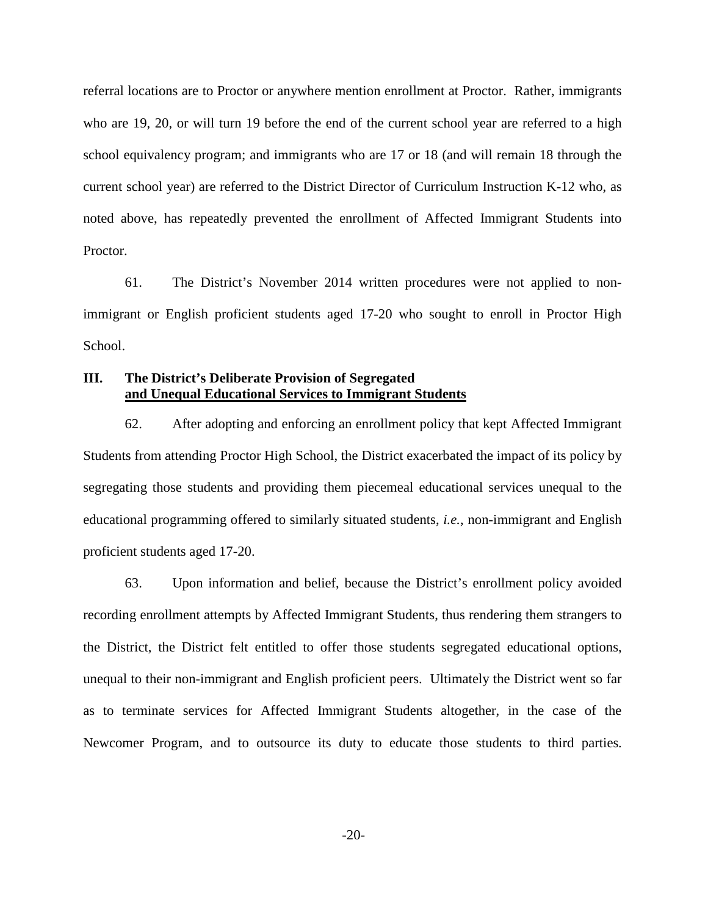referral locations are to Proctor or anywhere mention enrollment at Proctor. Rather, immigrants who are 19, 20, or will turn 19 before the end of the current school year are referred to a high school equivalency program; and immigrants who are 17 or 18 (and will remain 18 through the current school year) are referred to the District Director of Curriculum Instruction K-12 who, as noted above, has repeatedly prevented the enrollment of Affected Immigrant Students into Proctor.

61. The District's November 2014 written procedures were not applied to nonimmigrant or English proficient students aged 17-20 who sought to enroll in Proctor High School.

## **III. The District's Deliberate Provision of Segregated and Unequal Educational Services to Immigrant Students**

62. After adopting and enforcing an enrollment policy that kept Affected Immigrant Students from attending Proctor High School, the District exacerbated the impact of its policy by segregating those students and providing them piecemeal educational services unequal to the educational programming offered to similarly situated students, *i.e.*, non-immigrant and English proficient students aged 17-20.

63. Upon information and belief, because the District's enrollment policy avoided recording enrollment attempts by Affected Immigrant Students, thus rendering them strangers to the District, the District felt entitled to offer those students segregated educational options, unequal to their non-immigrant and English proficient peers. Ultimately the District went so far as to terminate services for Affected Immigrant Students altogether, in the case of the Newcomer Program, and to outsource its duty to educate those students to third parties.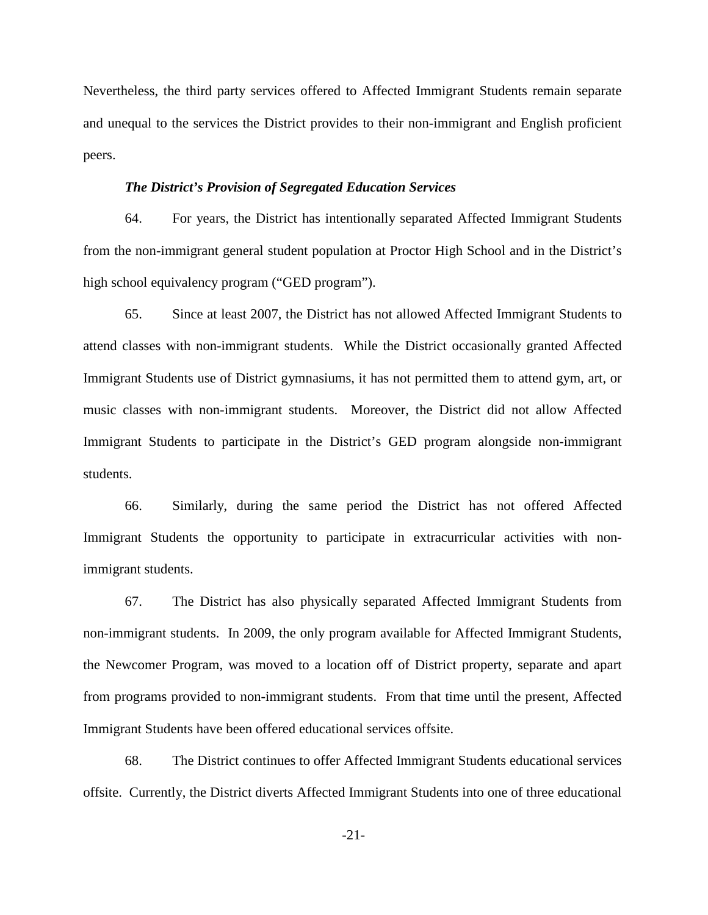Nevertheless, the third party services offered to Affected Immigrant Students remain separate and unequal to the services the District provides to their non-immigrant and English proficient peers.

## *The District's Provision of Segregated Education Services*

64. For years, the District has intentionally separated Affected Immigrant Students from the non-immigrant general student population at Proctor High School and in the District's high school equivalency program ("GED program").

65. Since at least 2007, the District has not allowed Affected Immigrant Students to attend classes with non-immigrant students. While the District occasionally granted Affected Immigrant Students use of District gymnasiums, it has not permitted them to attend gym, art, or music classes with non-immigrant students. Moreover, the District did not allow Affected Immigrant Students to participate in the District's GED program alongside non-immigrant students.

66. Similarly, during the same period the District has not offered Affected Immigrant Students the opportunity to participate in extracurricular activities with nonimmigrant students.

67. The District has also physically separated Affected Immigrant Students from non-immigrant students. In 2009, the only program available for Affected Immigrant Students, the Newcomer Program, was moved to a location off of District property, separate and apart from programs provided to non-immigrant students. From that time until the present, Affected Immigrant Students have been offered educational services offsite.

68. The District continues to offer Affected Immigrant Students educational services offsite. Currently, the District diverts Affected Immigrant Students into one of three educational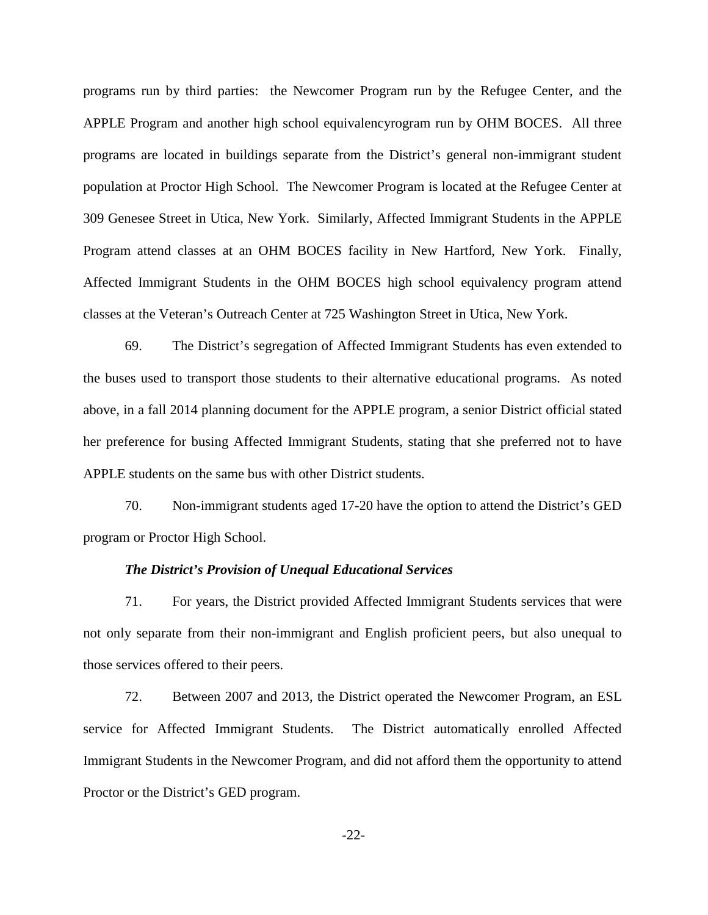programs run by third parties: the Newcomer Program run by the Refugee Center, and the APPLE Program and another high school equivalencyrogram run by OHM BOCES. All three programs are located in buildings separate from the District's general non-immigrant student population at Proctor High School. The Newcomer Program is located at the Refugee Center at 309 Genesee Street in Utica, New York. Similarly, Affected Immigrant Students in the APPLE Program attend classes at an OHM BOCES facility in New Hartford, New York. Finally, Affected Immigrant Students in the OHM BOCES high school equivalency program attend classes at the Veteran's Outreach Center at 725 Washington Street in Utica, New York.

69. The District's segregation of Affected Immigrant Students has even extended to the buses used to transport those students to their alternative educational programs. As noted above, in a fall 2014 planning document for the APPLE program, a senior District official stated her preference for busing Affected Immigrant Students, stating that she preferred not to have APPLE students on the same bus with other District students.

70. Non-immigrant students aged 17-20 have the option to attend the District's GED program or Proctor High School.

#### *The District's Provision of Unequal Educational Services*

71. For years, the District provided Affected Immigrant Students services that were not only separate from their non-immigrant and English proficient peers, but also unequal to those services offered to their peers.

72. Between 2007 and 2013, the District operated the Newcomer Program, an ESL service for Affected Immigrant Students. The District automatically enrolled Affected Immigrant Students in the Newcomer Program, and did not afford them the opportunity to attend Proctor or the District's GED program.

-22-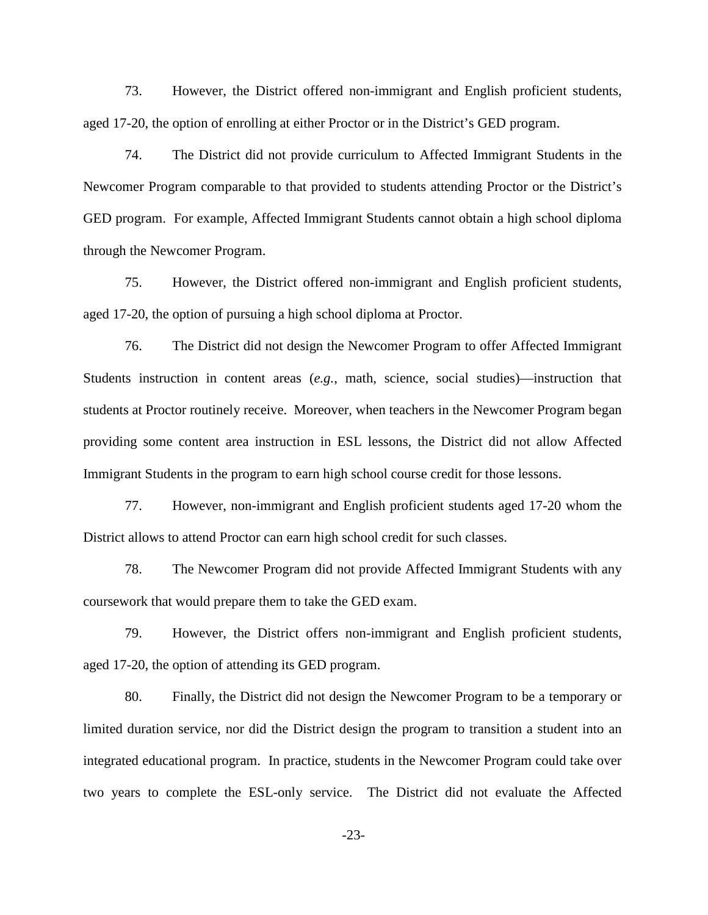73. However, the District offered non-immigrant and English proficient students, aged 17-20, the option of enrolling at either Proctor or in the District's GED program.

74. The District did not provide curriculum to Affected Immigrant Students in the Newcomer Program comparable to that provided to students attending Proctor or the District's GED program. For example, Affected Immigrant Students cannot obtain a high school diploma through the Newcomer Program.

75. However, the District offered non-immigrant and English proficient students, aged 17-20, the option of pursuing a high school diploma at Proctor.

76. The District did not design the Newcomer Program to offer Affected Immigrant Students instruction in content areas (*e.g.*, math, science, social studies)—instruction that students at Proctor routinely receive. Moreover, when teachers in the Newcomer Program began providing some content area instruction in ESL lessons, the District did not allow Affected Immigrant Students in the program to earn high school course credit for those lessons.

77. However, non-immigrant and English proficient students aged 17-20 whom the District allows to attend Proctor can earn high school credit for such classes.

78. The Newcomer Program did not provide Affected Immigrant Students with any coursework that would prepare them to take the GED exam.

79. However, the District offers non-immigrant and English proficient students, aged 17-20, the option of attending its GED program.

80. Finally, the District did not design the Newcomer Program to be a temporary or limited duration service, nor did the District design the program to transition a student into an integrated educational program. In practice, students in the Newcomer Program could take over two years to complete the ESL-only service. The District did not evaluate the Affected

-23-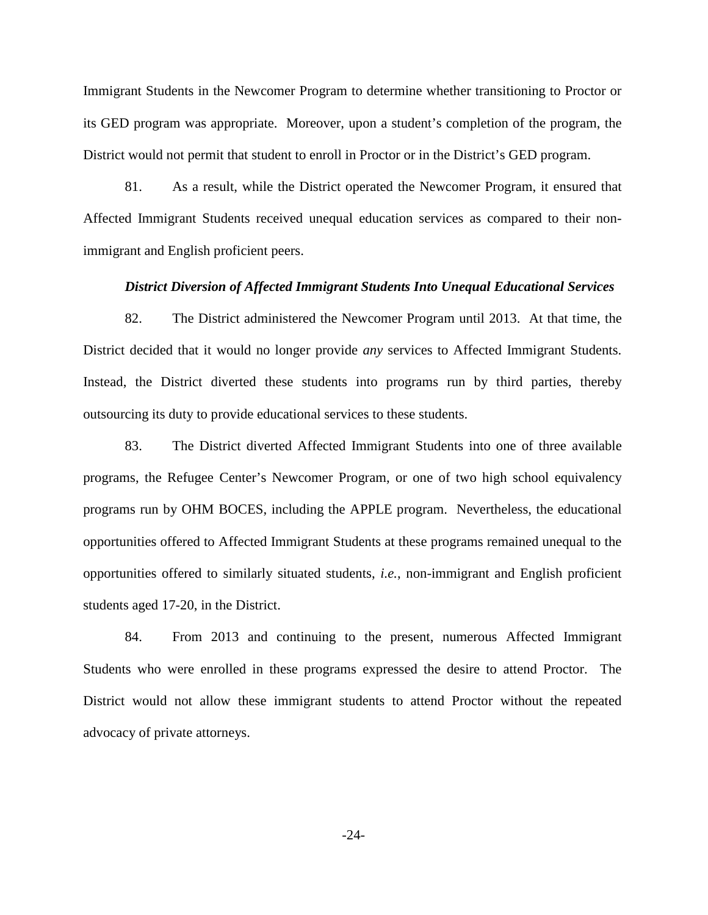Immigrant Students in the Newcomer Program to determine whether transitioning to Proctor or its GED program was appropriate. Moreover, upon a student's completion of the program, the District would not permit that student to enroll in Proctor or in the District's GED program.

81. As a result, while the District operated the Newcomer Program, it ensured that Affected Immigrant Students received unequal education services as compared to their nonimmigrant and English proficient peers.

#### *District Diversion of Affected Immigrant Students Into Unequal Educational Services*

82. The District administered the Newcomer Program until 2013. At that time, the District decided that it would no longer provide *any* services to Affected Immigrant Students. Instead, the District diverted these students into programs run by third parties, thereby outsourcing its duty to provide educational services to these students.

83. The District diverted Affected Immigrant Students into one of three available programs, the Refugee Center's Newcomer Program, or one of two high school equivalency programs run by OHM BOCES, including the APPLE program. Nevertheless, the educational opportunities offered to Affected Immigrant Students at these programs remained unequal to the opportunities offered to similarly situated students, *i.e.*, non-immigrant and English proficient students aged 17-20, in the District.

84. From 2013 and continuing to the present, numerous Affected Immigrant Students who were enrolled in these programs expressed the desire to attend Proctor. The District would not allow these immigrant students to attend Proctor without the repeated advocacy of private attorneys.

-24-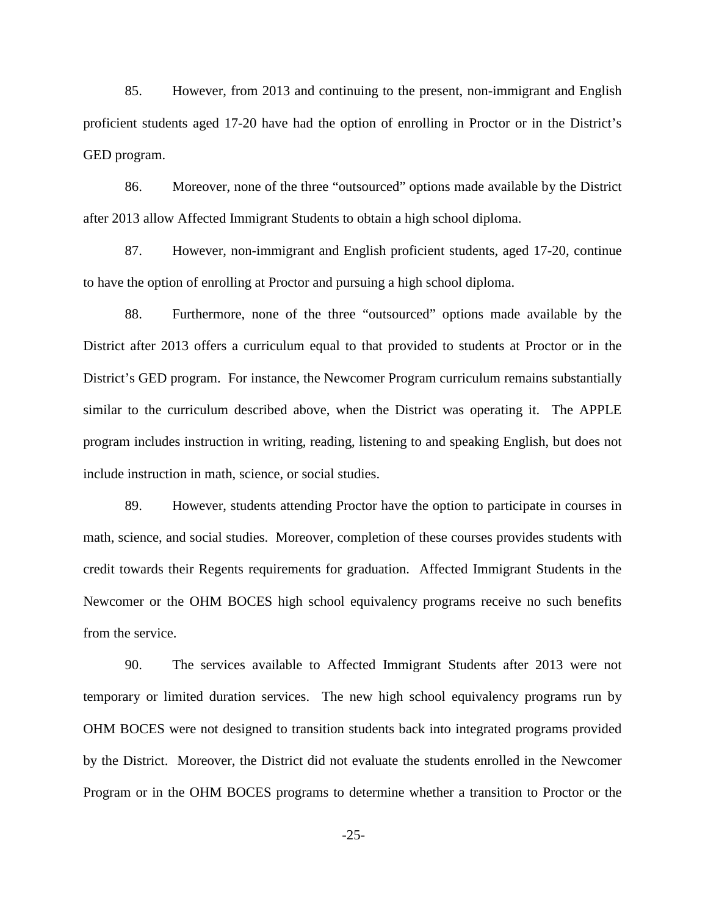85. However, from 2013 and continuing to the present, non-immigrant and English proficient students aged 17-20 have had the option of enrolling in Proctor or in the District's GED program.

86. Moreover, none of the three "outsourced" options made available by the District after 2013 allow Affected Immigrant Students to obtain a high school diploma.

87. However, non-immigrant and English proficient students, aged 17-20, continue to have the option of enrolling at Proctor and pursuing a high school diploma.

88. Furthermore, none of the three "outsourced" options made available by the District after 2013 offers a curriculum equal to that provided to students at Proctor or in the District's GED program. For instance, the Newcomer Program curriculum remains substantially similar to the curriculum described above, when the District was operating it. The APPLE program includes instruction in writing, reading, listening to and speaking English, but does not include instruction in math, science, or social studies.

89. However, students attending Proctor have the option to participate in courses in math, science, and social studies. Moreover, completion of these courses provides students with credit towards their Regents requirements for graduation. Affected Immigrant Students in the Newcomer or the OHM BOCES high school equivalency programs receive no such benefits from the service.

90. The services available to Affected Immigrant Students after 2013 were not temporary or limited duration services. The new high school equivalency programs run by OHM BOCES were not designed to transition students back into integrated programs provided by the District. Moreover, the District did not evaluate the students enrolled in the Newcomer Program or in the OHM BOCES programs to determine whether a transition to Proctor or the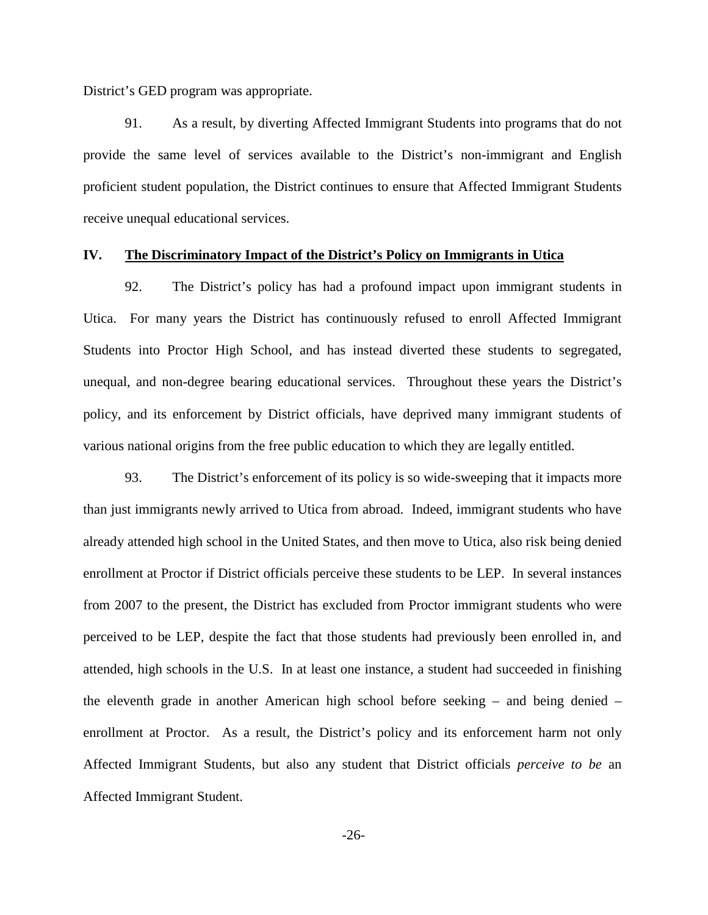District's GED program was appropriate.

91. As a result, by diverting Affected Immigrant Students into programs that do not provide the same level of services available to the District's non-immigrant and English proficient student population, the District continues to ensure that Affected Immigrant Students receive unequal educational services.

## **IV. The Discriminatory Impact of the District's Policy on Immigrants in Utica**

92. The District's policy has had a profound impact upon immigrant students in Utica. For many years the District has continuously refused to enroll Affected Immigrant Students into Proctor High School, and has instead diverted these students to segregated, unequal, and non-degree bearing educational services. Throughout these years the District's policy, and its enforcement by District officials, have deprived many immigrant students of various national origins from the free public education to which they are legally entitled.

93. The District's enforcement of its policy is so wide-sweeping that it impacts more than just immigrants newly arrived to Utica from abroad. Indeed, immigrant students who have already attended high school in the United States, and then move to Utica, also risk being denied enrollment at Proctor if District officials perceive these students to be LEP. In several instances from 2007 to the present, the District has excluded from Proctor immigrant students who were perceived to be LEP, despite the fact that those students had previously been enrolled in, and attended, high schools in the U.S. In at least one instance, a student had succeeded in finishing the eleventh grade in another American high school before seeking – and being denied – enrollment at Proctor. As a result, the District's policy and its enforcement harm not only Affected Immigrant Students, but also any student that District officials *perceive to be* an Affected Immigrant Student.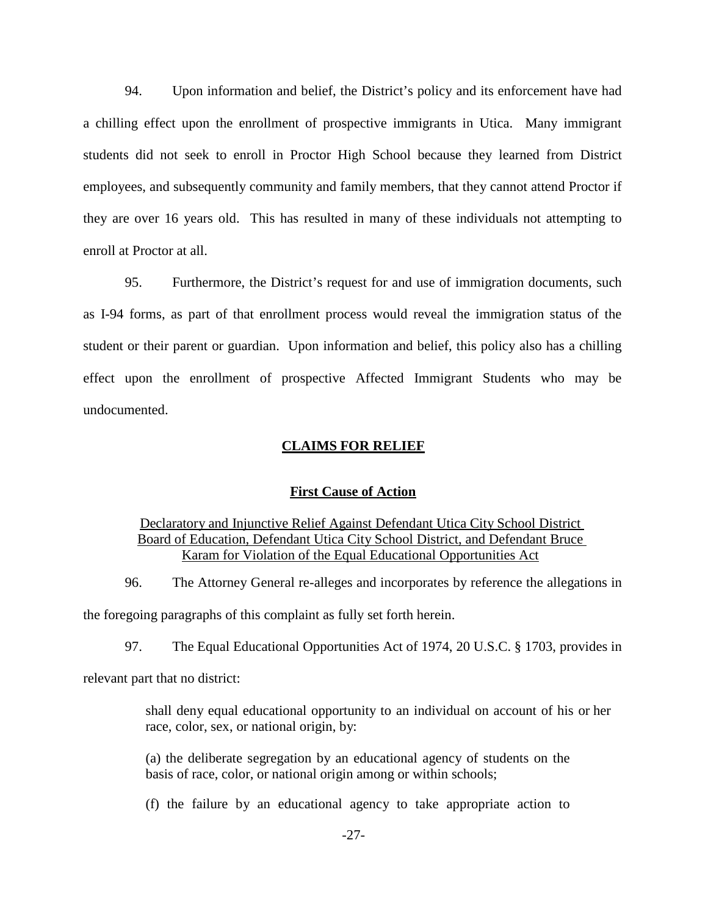94. Upon information and belief, the District's policy and its enforcement have had a chilling effect upon the enrollment of prospective immigrants in Utica. Many immigrant students did not seek to enroll in Proctor High School because they learned from District employees, and subsequently community and family members, that they cannot attend Proctor if they are over 16 years old. This has resulted in many of these individuals not attempting to enroll at Proctor at all.

95. Furthermore, the District's request for and use of immigration documents, such as I-94 forms, as part of that enrollment process would reveal the immigration status of the student or their parent or guardian. Upon information and belief, this policy also has a chilling effect upon the enrollment of prospective Affected Immigrant Students who may be undocumented.

## **CLAIMS FOR RELIEF**

## **First Cause of Action**

# Declaratory and Injunctive Relief Against Defendant Utica City School District Board of Education, Defendant Utica City School District, and Defendant Bruce Karam for Violation of the Equal Educational Opportunities Act

96. The Attorney General re-alleges and incorporates by reference the allegations in the foregoing paragraphs of this complaint as fully set forth herein.

97. The Equal Educational Opportunities Act of 1974, 20 U.S.C. § 1703, provides in

relevant part that no district:

shall deny equal educational opportunity to an individual on account of his or her race, color, sex, or national origin, by:

(a) the deliberate segregation by an educational agency of students on the basis of race, color, or national origin among or within schools;

(f) the failure by an educational agency to take appropriate action to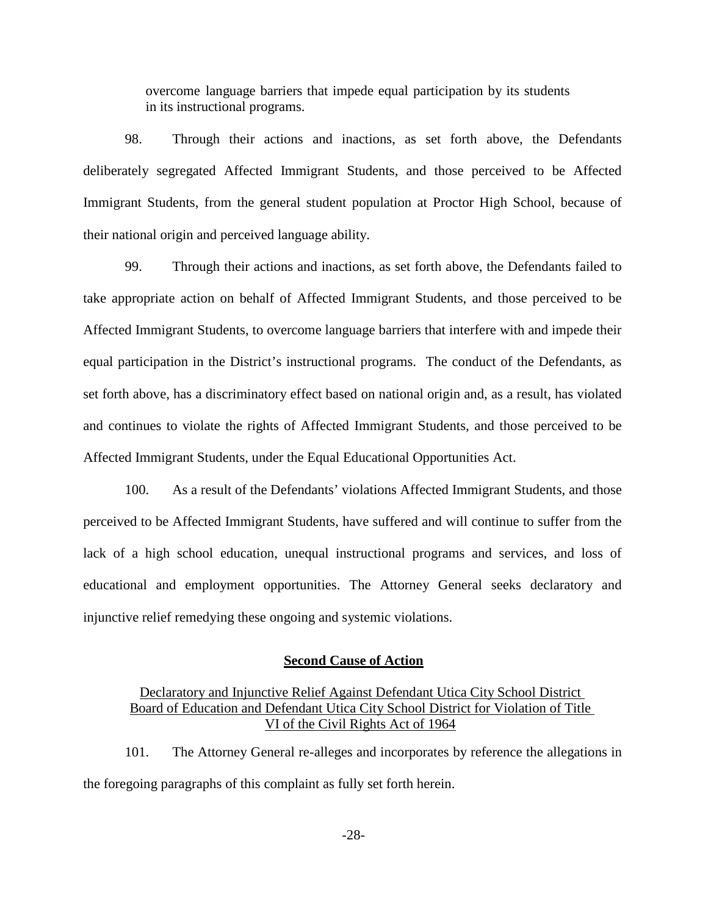overcome language barriers that impede equal participation by its students in its instructional programs.

98. Through their actions and inactions, as set forth above, the Defendants deliberately segregated Affected Immigrant Students, and those perceived to be Affected Immigrant Students, from the general student population at Proctor High School, because of their national origin and perceived language ability.

99. Through their actions and inactions, as set forth above, the Defendants failed to take appropriate action on behalf of Affected Immigrant Students, and those perceived to be Affected Immigrant Students, to overcome language barriers that interfere with and impede their equal participation in the District's instructional programs. The conduct of the Defendants, as set forth above, has a discriminatory effect based on national origin and, as a result, has violated and continues to violate the rights of Affected Immigrant Students, and those perceived to be Affected Immigrant Students, under the Equal Educational Opportunities Act.

100. As a result of the Defendants' violations Affected Immigrant Students, and those perceived to be Affected Immigrant Students, have suffered and will continue to suffer from the lack of a high school education, unequal instructional programs and services, and loss of educational and employment opportunities. The Attorney General seeks declaratory and injunctive relief remedying these ongoing and systemic violations.

## **Second Cause of Action**

## Declaratory and Injunctive Relief Against Defendant Utica City School District Board of Education and Defendant Utica City School District for Violation of Title VI of the Civil Rights Act of 1964

101. The Attorney General re-alleges and incorporates by reference the allegations in the foregoing paragraphs of this complaint as fully set forth herein.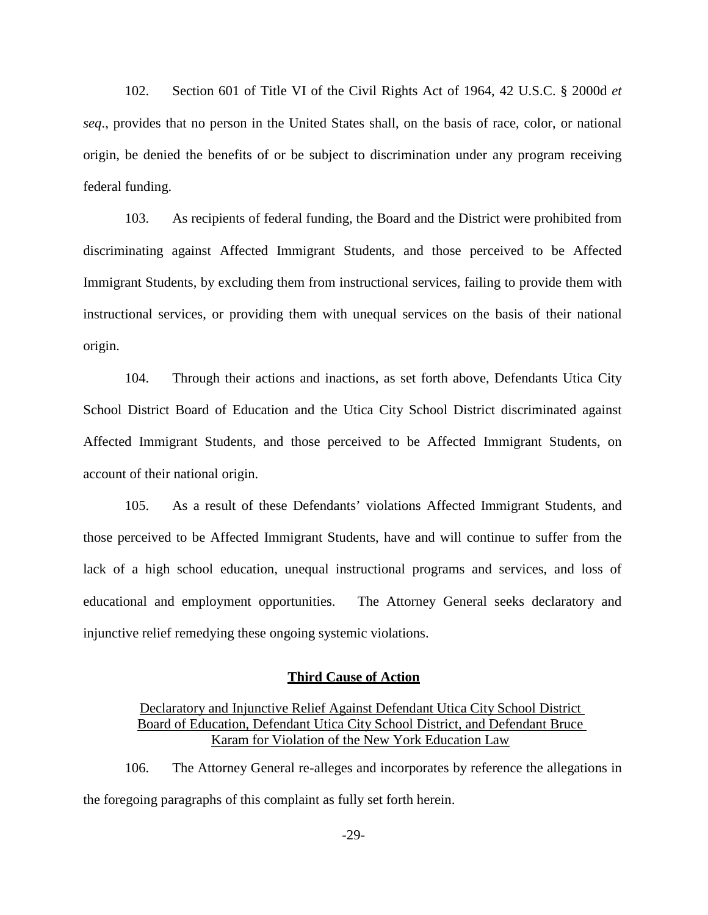102. Section 601 of Title VI of the Civil Rights Act of 1964, 42 U.S.C. § 2000d *et seq*., provides that no person in the United States shall, on the basis of race, color, or national origin, be denied the benefits of or be subject to discrimination under any program receiving federal funding.

103. As recipients of federal funding, the Board and the District were prohibited from discriminating against Affected Immigrant Students, and those perceived to be Affected Immigrant Students, by excluding them from instructional services, failing to provide them with instructional services, or providing them with unequal services on the basis of their national origin.

104. Through their actions and inactions, as set forth above, Defendants Utica City School District Board of Education and the Utica City School District discriminated against Affected Immigrant Students, and those perceived to be Affected Immigrant Students, on account of their national origin.

105. As a result of these Defendants' violations Affected Immigrant Students, and those perceived to be Affected Immigrant Students, have and will continue to suffer from the lack of a high school education, unequal instructional programs and services, and loss of educational and employment opportunities. The Attorney General seeks declaratory and injunctive relief remedying these ongoing systemic violations.

## **Third Cause of Action**

Declaratory and Injunctive Relief Against Defendant Utica City School District Board of Education, Defendant Utica City School District, and Defendant Bruce Karam for Violation of the New York Education Law

106. The Attorney General re-alleges and incorporates by reference the allegations in the foregoing paragraphs of this complaint as fully set forth herein.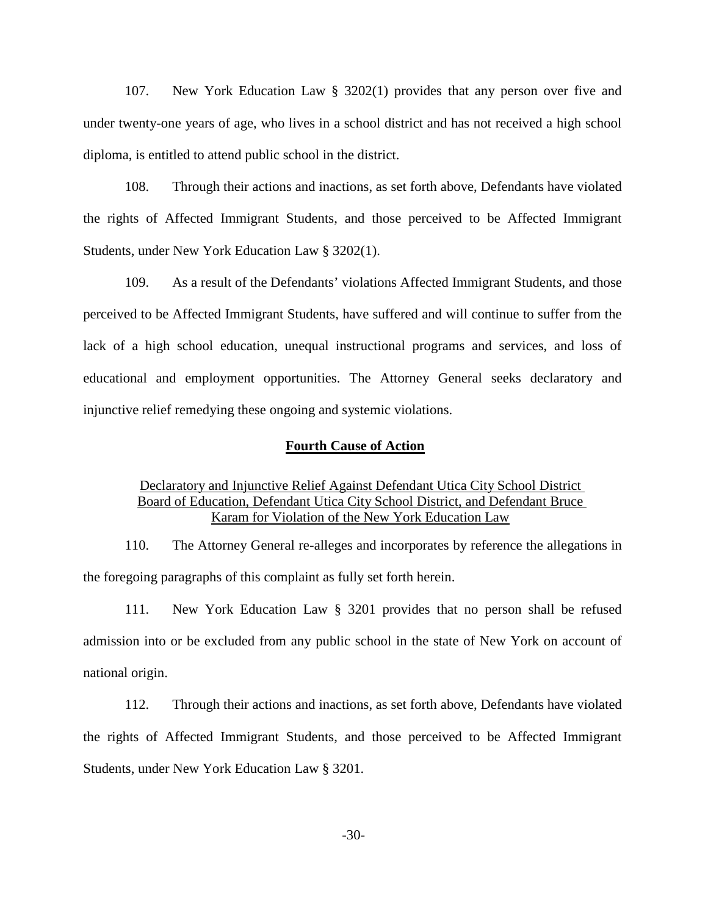107. New York Education Law § 3202(1) provides that any person over five and under twenty-one years of age, who lives in a school district and has not received a high school diploma, is entitled to attend public school in the district.

108. Through their actions and inactions, as set forth above, Defendants have violated the rights of Affected Immigrant Students, and those perceived to be Affected Immigrant Students, under New York Education Law § 3202(1).

109. As a result of the Defendants' violations Affected Immigrant Students, and those perceived to be Affected Immigrant Students, have suffered and will continue to suffer from the lack of a high school education, unequal instructional programs and services, and loss of educational and employment opportunities. The Attorney General seeks declaratory and injunctive relief remedying these ongoing and systemic violations.

## **Fourth Cause of Action**

## Declaratory and Injunctive Relief Against Defendant Utica City School District Board of Education, Defendant Utica City School District, and Defendant Bruce Karam for Violation of the New York Education Law

110. The Attorney General re-alleges and incorporates by reference the allegations in the foregoing paragraphs of this complaint as fully set forth herein.

111. New York Education Law § 3201 provides that no person shall be refused admission into or be excluded from any public school in the state of New York on account of national origin.

112. Through their actions and inactions, as set forth above, Defendants have violated the rights of Affected Immigrant Students, and those perceived to be Affected Immigrant Students, under New York Education Law § 3201.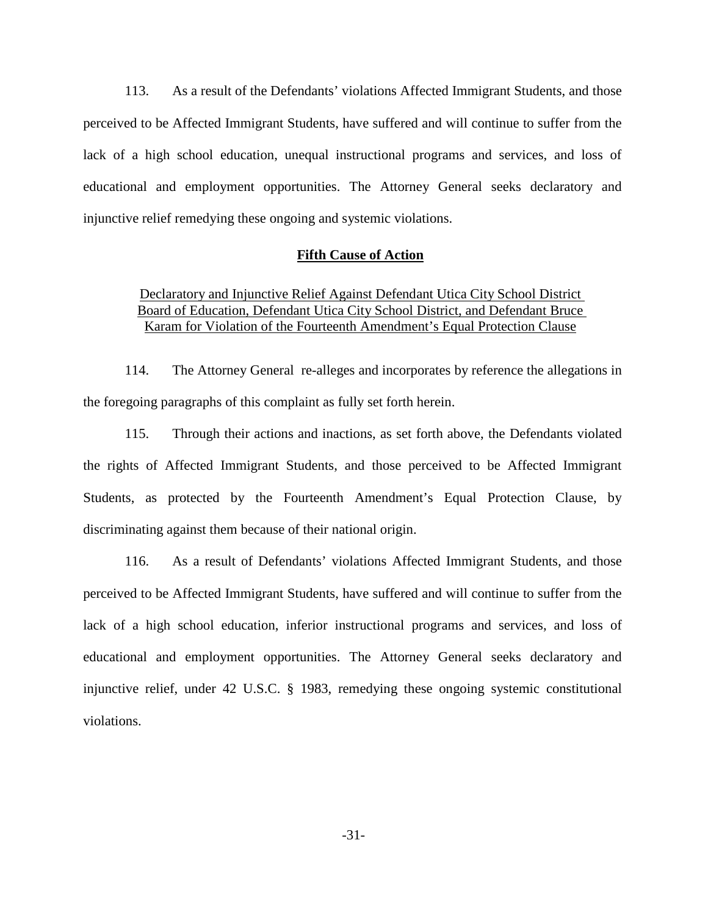113. As a result of the Defendants' violations Affected Immigrant Students, and those perceived to be Affected Immigrant Students, have suffered and will continue to suffer from the lack of a high school education, unequal instructional programs and services, and loss of educational and employment opportunities. The Attorney General seeks declaratory and injunctive relief remedying these ongoing and systemic violations.

## **Fifth Cause of Action**

# Declaratory and Injunctive Relief Against Defendant Utica City School District Board of Education, Defendant Utica City School District, and Defendant Bruce Karam for Violation of the Fourteenth Amendment's Equal Protection Clause

114. The Attorney General re-alleges and incorporates by reference the allegations in the foregoing paragraphs of this complaint as fully set forth herein.

115. Through their actions and inactions, as set forth above, the Defendants violated the rights of Affected Immigrant Students, and those perceived to be Affected Immigrant Students, as protected by the Fourteenth Amendment's Equal Protection Clause, by discriminating against them because of their national origin.

116. As a result of Defendants' violations Affected Immigrant Students, and those perceived to be Affected Immigrant Students, have suffered and will continue to suffer from the lack of a high school education, inferior instructional programs and services, and loss of educational and employment opportunities. The Attorney General seeks declaratory and injunctive relief, under 42 U.S.C. § 1983, remedying these ongoing systemic constitutional violations.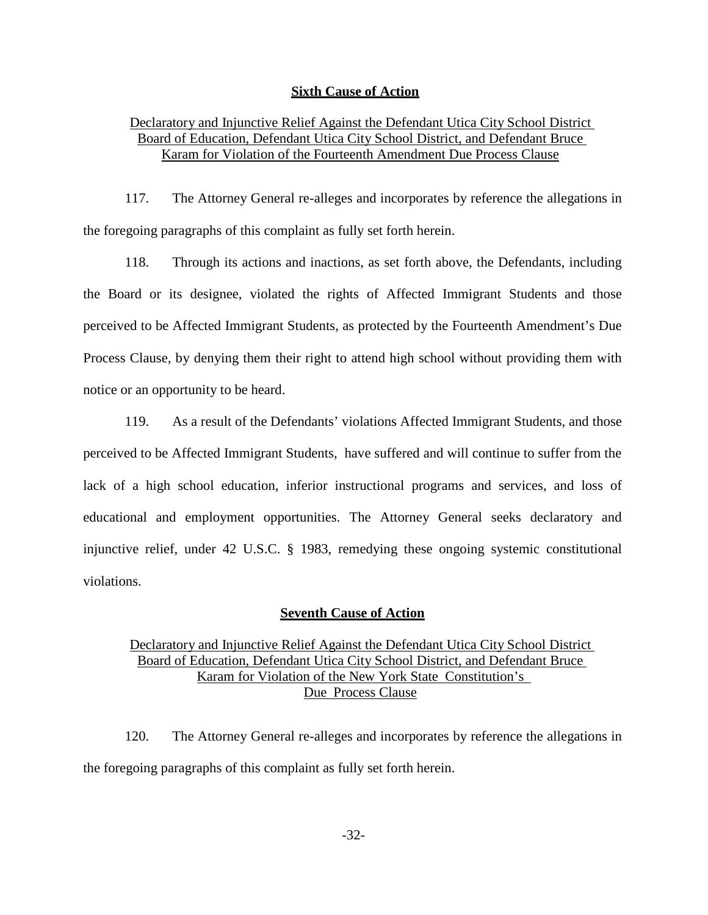## **Sixth Cause of Action**

# Declaratory and Injunctive Relief Against the Defendant Utica City School District Board of Education, Defendant Utica City School District, and Defendant Bruce Karam for Violation of the Fourteenth Amendment Due Process Clause

117. The Attorney General re-alleges and incorporates by reference the allegations in the foregoing paragraphs of this complaint as fully set forth herein.

118. Through its actions and inactions, as set forth above, the Defendants, including the Board or its designee, violated the rights of Affected Immigrant Students and those perceived to be Affected Immigrant Students, as protected by the Fourteenth Amendment's Due Process Clause, by denying them their right to attend high school without providing them with notice or an opportunity to be heard.

119. As a result of the Defendants' violations Affected Immigrant Students, and those perceived to be Affected Immigrant Students, have suffered and will continue to suffer from the lack of a high school education, inferior instructional programs and services, and loss of educational and employment opportunities. The Attorney General seeks declaratory and injunctive relief, under 42 U.S.C. § 1983, remedying these ongoing systemic constitutional violations.

## **Seventh Cause of Action**

# Declaratory and Injunctive Relief Against the Defendant Utica City School District Board of Education, Defendant Utica City School District, and Defendant Bruce Karam for Violation of the New York State Constitution's Due Process Clause

120. The Attorney General re-alleges and incorporates by reference the allegations in the foregoing paragraphs of this complaint as fully set forth herein.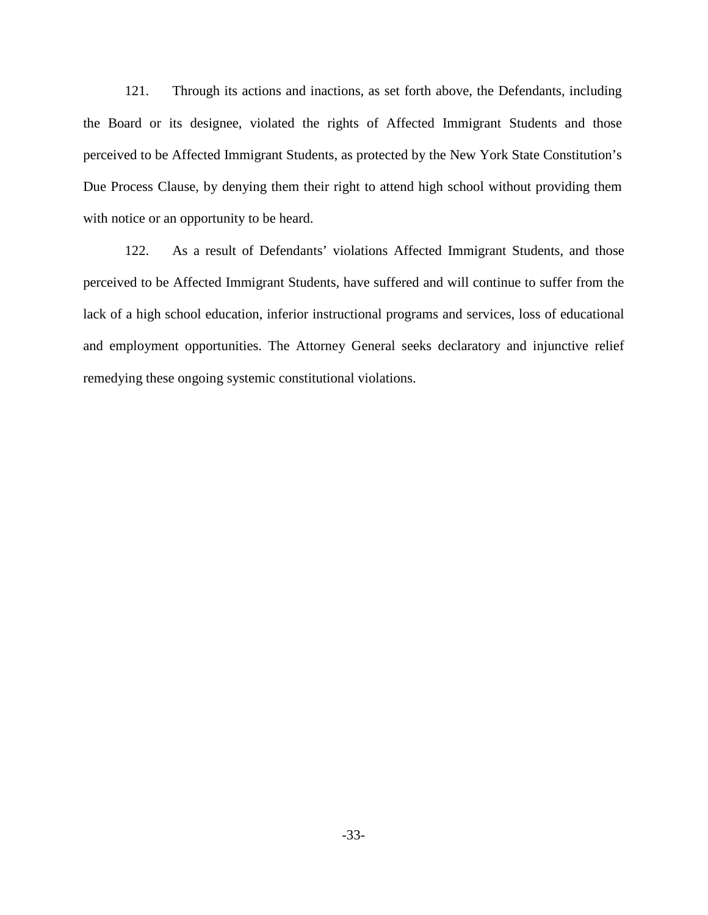121. Through its actions and inactions, as set forth above, the Defendants, including the Board or its designee, violated the rights of Affected Immigrant Students and those perceived to be Affected Immigrant Students, as protected by the New York State Constitution's Due Process Clause, by denying them their right to attend high school without providing them with notice or an opportunity to be heard.

122. As a result of Defendants' violations Affected Immigrant Students, and those perceived to be Affected Immigrant Students, have suffered and will continue to suffer from the lack of a high school education, inferior instructional programs and services, loss of educational and employment opportunities. The Attorney General seeks declaratory and injunctive relief remedying these ongoing systemic constitutional violations.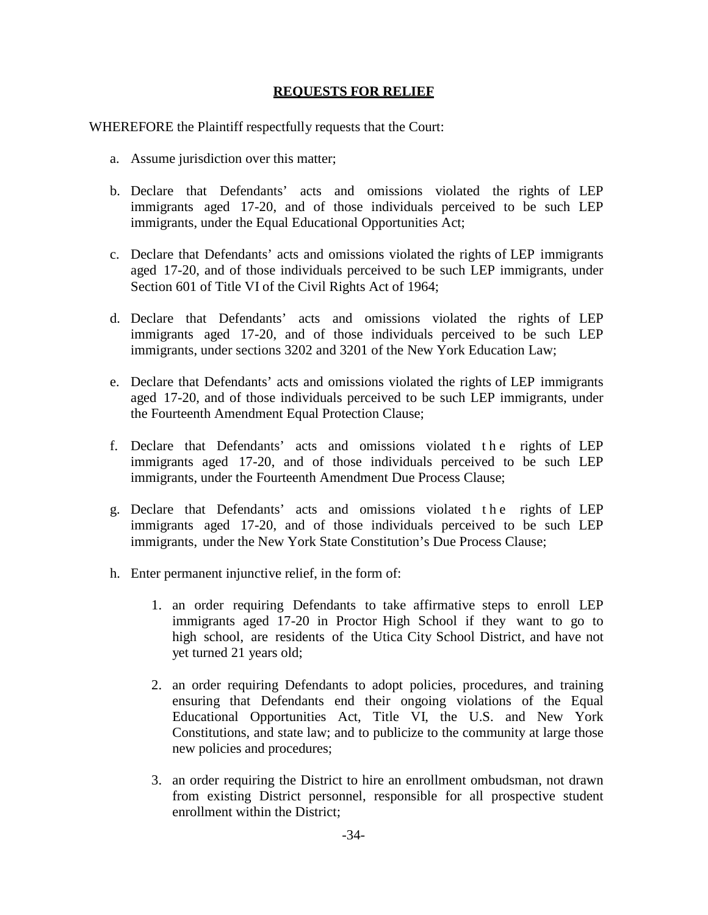## **REQUESTS FOR RELIEF**

WHEREFORE the Plaintiff respectfully requests that the Court:

- a. Assume jurisdiction over this matter;
- b. Declare that Defendants' acts and omissions violated the rights of LEP immigrants aged 17-20, and of those individuals perceived to be such LEP immigrants, under the Equal Educational Opportunities Act;
- c. Declare that Defendants' acts and omissions violated the rights of LEP immigrants aged 17-20, and of those individuals perceived to be such LEP immigrants, under Section 601 of Title VI of the Civil Rights Act of 1964;
- d. Declare that Defendants' acts and omissions violated the rights of LEP immigrants aged 17-20, and of those individuals perceived to be such LEP immigrants, under sections 3202 and 3201 of the New York Education Law;
- e. Declare that Defendants' acts and omissions violated the rights of LEP immigrants aged 17-20, and of those individuals perceived to be such LEP immigrants, under the Fourteenth Amendment Equal Protection Clause;
- f. Declare that Defendants' acts and omissions violated the rights of LEP immigrants aged 17-20, and of those individuals perceived to be such LEP immigrants, under the Fourteenth Amendment Due Process Clause;
- g. Declare that Defendants' acts and omissions violated the rights of LEP immigrants aged 17-20, and of those individuals perceived to be such LEP immigrants, under the New York State Constitution's Due Process Clause;
- h. Enter permanent injunctive relief, in the form of:
	- 1. an order requiring Defendants to take affirmative steps to enroll LEP immigrants aged 17-20 in Proctor High School if they want to go to high school, are residents of the Utica City School District, and have not yet turned 21 years old;
	- 2. an order requiring Defendants to adopt policies, procedures, and training ensuring that Defendants end their ongoing violations of the Equal Educational Opportunities Act, Title VI, the U.S. and New York Constitutions, and state law; and to publicize to the community at large those new policies and procedures;
	- 3. an order requiring the District to hire an enrollment ombudsman, not drawn from existing District personnel, responsible for all prospective student enrollment within the District;